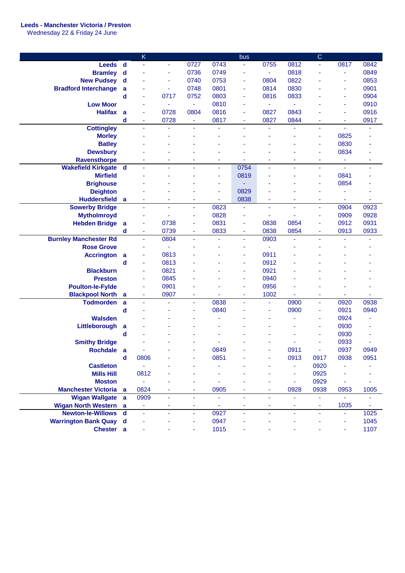## **Leeds - Manchester Victoria / Preston**

Wednesday 22 & Friday 24 June

|                              |                             | K                        |                |                |                | bus            |                                  |      | C              |                          |      |
|------------------------------|-----------------------------|--------------------------|----------------|----------------|----------------|----------------|----------------------------------|------|----------------|--------------------------|------|
| <b>Leeds</b>                 | $\mathbf d$                 | ä,                       | $\blacksquare$ | 0727           | 0743           | $\blacksquare$ | 0755                             | 0812 | ä,             | 0817                     | 0842 |
| <b>Bramley</b>               | d                           | $\overline{\phantom{a}}$ | ۰              | 0736           | 0749           | ٠              | $\blacksquare$                   | 0818 | ٠              | $\blacksquare$           | 0849 |
| <b>New Pudsey</b>            | $\mathbf d$                 |                          | ۰              | 0740           | 0753           | ٠              | 0804                             | 0822 |                | $\blacksquare$           | 0853 |
| <b>Bradford Interchange</b>  |                             |                          | ٠              | 0748           | 0801           | ٠              | 0814                             | 0830 |                | ÷                        | 0901 |
|                              | a                           |                          |                |                | 0803           |                |                                  | 0833 |                |                          | 0904 |
|                              | d                           | $\blacksquare$           | 0717           | 0752           |                | ٠              | 0816                             |      |                | ٠                        |      |
| <b>Low Moor</b>              |                             | ٠                        | $\blacksquare$ | $\blacksquare$ | 0810           | ۰              | ÷,                               |      |                | ٠                        | 0910 |
| <b>Halifax</b>               | a                           | $\overline{\phantom{a}}$ | 0728           | 0804           | 0816           | ٠              | 0827                             | 0843 |                | ÷                        | 0916 |
|                              | d                           | ٠                        | 0728           | ÷              | 0817           | ٠              | 0827                             | 0844 | ۰              | ٠                        | 0917 |
| <b>Cottingley</b>            |                             | $\blacksquare$           |                | ۰              |                | ٠              |                                  |      | ä,             | $\blacksquare$           |      |
| <b>Morley</b>                |                             |                          |                |                |                |                |                                  | ÷,   | $\blacksquare$ | 0825                     |      |
| <b>Batley</b>                |                             |                          |                |                |                |                |                                  |      | ÷,             | 0830                     |      |
| <b>Dewsbury</b>              |                             |                          |                |                |                |                |                                  |      | ä,             | 0834                     |      |
| <b>Ravensthorpe</b>          |                             |                          |                |                |                |                |                                  |      |                | $\blacksquare$           | ۰    |
| <b>Wakefield Kirkgate</b>    | $\mathsf{d}$                |                          |                | ٠              | $\blacksquare$ | 0754           | ÷,                               | ä,   | $\blacksquare$ | $\overline{\phantom{0}}$ | ä,   |
| <b>Mirfield</b>              |                             |                          |                |                | $\blacksquare$ | 0819           |                                  | ٠    | $\blacksquare$ | 0841                     |      |
| <b>Brighouse</b>             |                             |                          |                |                | ÷,             |                |                                  |      | ÷,             | 0854                     |      |
| <b>Deighton</b>              |                             |                          |                |                | ÷,             | 0829           |                                  |      | ä,             | ÷,                       |      |
| <b>Huddersfield</b>          | $\mathbf{a}$                |                          |                | ٠              | ä,             | 0838           |                                  | ۰    | ٠              | $\blacksquare$           | ä,   |
| <b>Sowerby Bridge</b>        |                             | ä,                       |                | ä,             | 0823           | Ξ              | ä,                               | ä,   | ä,             | 0904                     | 0923 |
| <b>Mytholmroyd</b>           |                             |                          |                | ÷,             | 0828           | ۰              |                                  | ä,   | ä              | 0909                     | 0928 |
| <b>Hebden Bridge</b>         | a                           | ä,                       | 0738           | ä,             | 0831           | ٠              | 0838                             | 0854 | ä,             | 0912                     | 0931 |
|                              | d                           | $\blacksquare$           | 0739           | ٠              | 0833           | ٠              | 0838                             | 0854 | $\blacksquare$ | 0913                     | 0933 |
| <b>Burnley Manchester Rd</b> |                             | $\bar{\phantom{a}}$      | 0804           | ä,             | ä,             | ä,             | 0903                             | ä,   | $\blacksquare$ | ä,                       |      |
| <b>Rose Grove</b>            |                             | ٠                        | ä,             |                |                | ۰              |                                  | ä,   |                |                          |      |
| <b>Accrington</b>            | a                           | ä,                       | 0813           |                |                | ٠              | 0911                             |      |                |                          |      |
|                              | d                           | ÷                        | 0813           |                |                | ٠              | 0912                             |      |                |                          |      |
| <b>Blackburn</b>             |                             | ÷,                       | 0821           |                |                | ٠              | 0921                             |      |                |                          |      |
| <b>Preston</b>               |                             | ä,                       | 0845           |                |                | ۰              | 0940                             |      |                |                          |      |
| <b>Poulton-le-Fylde</b>      |                             |                          | 0901           |                |                | ٠              | 0956                             |      |                |                          |      |
| <b>Blackpool North</b>       | a                           | ä,                       | 0907           | ٠              |                | Ξ              | 1002                             |      | ä,             |                          | Ĭ.   |
| <b>Todmorden</b>             | a                           | $\sim$                   | ä,             | ٠              | 0838           | $\blacksquare$ | ä,                               | 0900 | ä,             | 0920                     | 0938 |
|                              | d                           |                          | ٠              | ٠              | 0840           | ٠              | ÷,                               | 0900 | $\blacksquare$ | 0921                     | 0940 |
| <b>Walsden</b>               |                             |                          |                |                |                |                |                                  | ä,   | ÷,             | 0924                     |      |
| Littleborough                | a                           |                          |                |                |                |                |                                  | ä,   | ä              | 0930                     |      |
|                              | d                           |                          |                |                |                |                |                                  |      | ٠              | 0930                     | ä,   |
| <b>Smithy Bridge</b>         |                             |                          |                |                |                |                |                                  |      | ٠              | 0933                     |      |
| <b>Rochdale</b>              | a                           |                          |                | ä,             | 0849           |                |                                  | 0911 | ä,             | 0937                     | 0949 |
|                              | $\operatorname{\mathsf{d}}$ | 0806                     |                |                | 0851           |                |                                  | 0913 | 0917           | 0938                     | 0951 |
| <b>Castleton</b>             |                             |                          |                |                | ä,             |                |                                  | ä,   | 0920           |                          |      |
| <b>Mills Hill</b>            |                             | 0812                     |                |                | ٠              |                |                                  | ä,   | 0925           |                          |      |
| <b>Moston</b>                |                             |                          |                |                | ä,             |                |                                  | ÷    | 0929           | ÷                        |      |
| <b>Manchester Victoria</b> a |                             | 0824                     | ٠              | ٠              | 0905           | ٠              | ٠                                | 0928 | 0938           | 0953                     | 1005 |
| Wigan Wallgate a             |                             | 0909                     | ٠              |                | ä,             | Ξ              | ÷                                | ۰    | $\blacksquare$ | $\equiv$                 | ٠    |
|                              |                             |                          |                | ٠              |                |                |                                  |      |                |                          |      |
| <b>Wigan North Western a</b> |                             | ÷                        | ٠              | ۰              | ÷<br>0927      | ÷              | $\blacksquare$<br>$\blacksquare$ | ۰    | Ξ              | 1035                     | 1025 |
| Newton-le-Willows d          |                             | $\blacksquare$           | $\blacksquare$ | ÷              |                | $\blacksquare$ |                                  | Ξ    | $\blacksquare$ | $\blacksquare$           |      |
| <b>Warrington Bank Quay</b>  | $\mathbf d$                 |                          |                | ٠              | 0947           | ۰              |                                  |      |                |                          | 1045 |
| <b>Chester</b>               | a                           |                          |                | ÷              | 1015           | ۰              |                                  |      |                |                          | 1107 |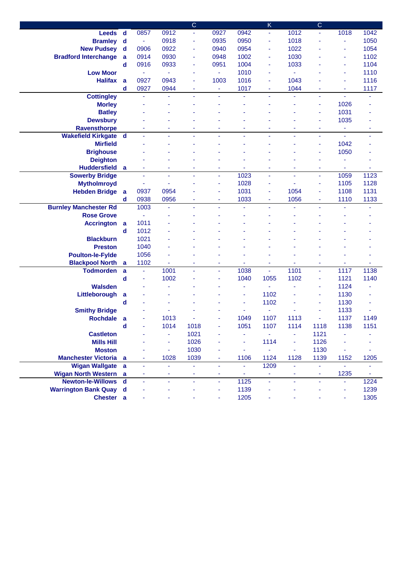|                              |                |                |                | $\overline{C}$ |                |                | $\sf K$        |                | $\overline{C}$ |                |      |
|------------------------------|----------------|----------------|----------------|----------------|----------------|----------------|----------------|----------------|----------------|----------------|------|
| <b>Leeds</b>                 | $\mathbf d$    | 0857           | 0912           | ۳              | 0927           | 0942           | $\blacksquare$ | 1012           |                | 1018           | 1042 |
| <b>Bramley</b>               | $\mathbf d$    | $\blacksquare$ | 0918           | ٠              | 0935           | 0950           | ä,             | 1018           |                | ä,             | 1050 |
| <b>New Pudsey</b>            | $\mathbf d$    | 0906           | 0922           | ٠              | 0940           | 0954           | ä,             | 1022           |                | ä,             | 1054 |
| <b>Bradford Interchange</b>  | a              | 0914           | 0930           | ٠              | 0948           | 1002           | ä,             | 1030           |                | ä,             | 1102 |
|                              | $\mathbf d$    | 0916           | 0933           | ٠              | 0951           | 1004           | ä,             | 1033           |                | ä,             | 1104 |
| <b>Low Moor</b>              |                | ٠              | $\blacksquare$ | ٠              | $\equiv$       | 1010           | ä,             | $\blacksquare$ |                | ä,             | 1110 |
| <b>Halifax</b>               | a              | 0927           | 0943           | ٠              | 1003           | 1016           | ä,             | 1043           |                | ä,             | 1116 |
|                              | $\mathbf d$    | 0927           | 0944           | $\blacksquare$ | ÷,             | 1017           | Ξ              | 1044           |                | ä,             | 1117 |
| <b>Cottingley</b>            |                | $\blacksquare$ | Ξ              | ÷.             | ÷.             | ä,             | ä,             | ä,             | ÷,             | ä,             | ÷,   |
| <b>Morley</b>                |                |                |                |                |                |                |                |                |                | 1026           |      |
| <b>Batley</b>                |                |                |                |                |                |                |                |                | ۰              | 1031           |      |
| <b>Dewsbury</b>              |                |                |                |                |                |                |                |                | ۰              | 1035           |      |
| <b>Ravensthorpe</b>          |                | ٠              | ۰              | ٠              | ٠              | ٠              | ۰              | ۰              | ٠              | ٠              | ٠    |
| <b>Wakefield Kirkgate d</b>  |                |                | ٠              | ٠              | ٠              | $\blacksquare$ | Ξ              | ٠              | ٠              | $\blacksquare$ | ٠    |
| <b>Mirfield</b>              |                |                |                |                |                |                |                |                |                | 1042           |      |
| <b>Brighouse</b>             |                |                |                |                |                |                |                |                |                | 1050           |      |
| <b>Deighton</b>              |                |                |                |                |                |                |                |                |                |                |      |
| <b>Huddersfield</b>          | $\overline{a}$ |                |                | ä,             |                |                | ä,             |                |                | ä,             |      |
| <b>Sowerby Bridge</b>        |                |                | ٠              |                | ٠              | 1023           | ä,             | ٠              | $\blacksquare$ | 1059           | 1123 |
| <b>Mytholmroyd</b>           |                |                | ٠              |                | ä,             | 1028           | Ξ              | ٠              |                | 1105           | 1128 |
| <b>Hebden Bridge</b>         | $\overline{a}$ | 0937           | 0954           |                | ä,             | 1031           | ä,             | 1054           | $\blacksquare$ | 1108           | 1131 |
|                              | d              | 0938           | 0956           | ٠              | $\blacksquare$ | 1033           | ٠              | 1056           | ٠              | 1110           | 1133 |
| <b>Burnley Manchester Rd</b> |                | 1003           | $\blacksquare$ | ä,             |                | $\blacksquare$ | ä,             |                |                |                |      |
| <b>Rose Grove</b>            |                |                |                |                |                |                |                |                |                |                |      |
| <b>Accrington</b>            | $\mathbf{a}$   | 1011           |                |                |                |                |                |                |                |                |      |
|                              | $\mathbf d$    | 1012           |                |                |                |                |                |                |                |                |      |
| <b>Blackburn</b>             |                | 1021           |                |                |                |                |                |                |                |                |      |
| <b>Preston</b>               |                | 1040           |                |                |                |                |                |                |                |                |      |
| <b>Poulton-le-Fylde</b>      |                | 1056           |                |                |                |                |                |                |                |                |      |
| <b>Blackpool North</b>       | a              | 1102           | ۰              | ٠              | ٠              |                | ٠              |                | ۰              |                |      |
| <b>Todmorden</b>             | a              | $\blacksquare$ | 1001           |                | ٠              | 1038           | ٠              | 1101           | ٠              | 1117           | 1138 |
|                              | d              |                | 1002           |                |                | 1040           | 1055           | 1102           |                | 1121           | 1140 |
| <b>Walsden</b>               |                |                |                |                |                | ÷,             |                |                |                | 1124           |      |
| Littleborough                | a              |                |                |                |                |                | 1102           |                |                | 1130           |      |
|                              | d              |                |                |                |                |                | 1102           |                |                | 1130           |      |
| <b>Smithy Bridge</b>         |                |                |                |                |                |                | ä,             |                |                | 1133           |      |
| <b>Rochdale</b>              | a              |                | 1013           |                |                | 1049           | 1107           | 1113           |                | 1137           | 1149 |
|                              | d              |                | 1014           | 1018           |                | 1051           | 1107           | 1114           | 1118           | 1138           | 1151 |
| <b>Castleton</b>             |                |                | ä,             | 1021           |                | ٠              | ä,             | Ξ              | 1121           |                |      |
| <b>Mills Hill</b>            |                |                | $\blacksquare$ | 1026           |                | ٠              | 1114           | ä,             | 1126           |                |      |
| <b>Moston</b>                |                |                | $\blacksquare$ | 1030           | ä,             | ä,             | ÷,             | ÷,             | 1130           | ٠              |      |
| <b>Manchester Victoria</b> a |                | ٠              | 1028           | 1039           | ÷,             | 1106           | 1124           | 1128           | 1139           | 1152           | 1205 |
| Wigan Wallgate a             |                | ä,             | $\blacksquare$ | ä,             | ä,             | $\blacksquare$ | 1209           | $\blacksquare$ |                | ä,             |      |
| <b>Wigan North Western</b>   | $\overline{a}$ | ٠              | ٠              | ۰              | $\blacksquare$ | Ξ              | ÷              | ٠              | ۰              | 1235           | ÷,   |
| <b>Newton-le-Willows</b>     | $\mathbf d$    | ä,             | $\blacksquare$ | ä,             | $\blacksquare$ | 1125           | ä,             | ÷,             | $\blacksquare$ | ä,             | 1224 |
| <b>Warrington Bank Quay</b>  | $\mathbf d$    |                |                |                | ä,             | 1139           |                |                |                | ä,             | 1239 |
| Chester a                    |                |                |                |                |                | 1205           |                |                |                | Ξ              | 1305 |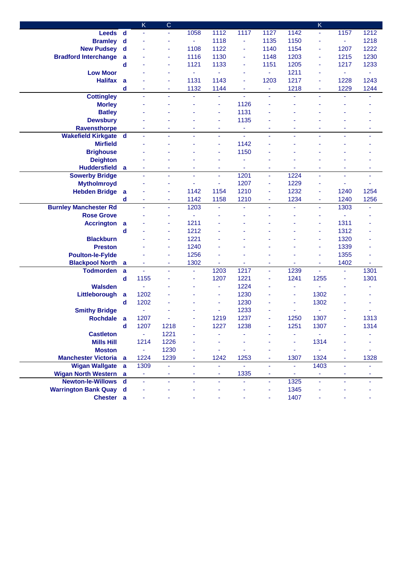|                               |              | Κ              | $\mathsf{C}$   |                |                |                |                |                | $\sf K$                  |                |                |
|-------------------------------|--------------|----------------|----------------|----------------|----------------|----------------|----------------|----------------|--------------------------|----------------|----------------|
| Leeds d                       |              | $\blacksquare$ | $\blacksquare$ | 1058           | 1112           | 1117           | 1127           | 1142           | Ξ                        | 1157           | 1212           |
| <b>Bramley</b>                | $\mathsf{d}$ |                | ٠              | $\blacksquare$ | 1118           | ٠              | 1135           | 1150           |                          | $\blacksquare$ | 1218           |
| <b>New Pudsey</b>             | $\mathbf d$  |                | ٠              | 1108           | 1122           | Ξ              | 1140           | 1154           |                          | 1207           | 1222           |
| <b>Bradford Interchange</b>   | a            |                | ٠              | 1116           | 1130           | ÷              | 1148           | 1203           | ۰                        | 1215           | 1230           |
|                               | $\mathbf d$  |                | ٠              | 1121           | 1133           | ÷              | 1151           | 1205           |                          | 1217           | 1233           |
| <b>Low Moor</b>               |              |                |                | $\blacksquare$ | $\blacksquare$ | ٠              | ۰              | 1211           |                          | $\blacksquare$ | ä,             |
| <b>Halifax</b>                | a            |                | ٠              | 1131           | 1143           | ٠              | 1203           | 1217           |                          | 1228           | 1243           |
|                               | $\mathbf d$  | ٠              | ٠              | 1132           | 1144           | $\blacksquare$ | $\blacksquare$ | 1218           | ٠                        | 1229           | 1244           |
| <b>Cottingley</b>             |              | $\blacksquare$ | $\blacksquare$ | ä,             | ä,             | ä,             | ä,             | ä,             | $\blacksquare$           | ä,             | ä,             |
| <b>Morley</b>                 |              |                |                |                | ä,             | 1126           |                |                |                          |                |                |
| <b>Batley</b>                 |              |                |                |                | ä,             | 1131           |                |                |                          |                |                |
| <b>Dewsbury</b>               |              |                |                |                | ä,             | 1135           |                |                |                          |                |                |
| <b>Ravensthorpe</b>           |              |                |                | ۰              | ä,             | ÷              | ä,             |                |                          | ä,             |                |
| <b>Wakefield Kirkgate</b>     | $\mathbf d$  |                |                |                | ٠              | Ξ              | ä,             | ÷,             |                          | ä,             |                |
| <b>Mirfield</b>               |              |                |                |                | ä,             | 1142           |                |                |                          |                |                |
| <b>Brighouse</b>              |              |                |                |                | ä,             | 1150           |                |                |                          |                |                |
| <b>Deighton</b>               |              |                |                |                | ٠              |                |                |                |                          |                |                |
| <b>Huddersfield</b>           | a            | ÷              | $\blacksquare$ | ٠              | $\blacksquare$ | $\blacksquare$ | Ξ              | ٠              | ۰                        | ٠              | $\blacksquare$ |
| <b>Sowerby Bridge</b>         |              | ä,             | ÷,             | ä,             | $\blacksquare$ | 1201           | ä,             | 1224           | $\overline{\phantom{a}}$ | ä,             | ÷,             |
| <b>Mytholmroyd</b>            |              |                | ٠              | ä,             | $\blacksquare$ | 1207           | ä,             | 1229           |                          | ä,             | ä,             |
| <b>Hebden Bridge</b>          | a            |                | ٠              | 1142           | 1154           | 1210           | ä,             | 1232           | ۰                        | 1240           | 1254           |
|                               | d            | ٠              | $\blacksquare$ | 1142           | 1158           | 1210           | ۰              | 1234           | Ξ                        | 1240           | 1256           |
| <b>Burnley Manchester Rd</b>  |              | ä,             | $\blacksquare$ | 1203           | L,             | ä,             | ÷.             | ä,             | ÷                        | 1303           | ä,             |
| <b>Rose Grove</b>             |              |                | ٠              | ä              |                |                | ä,             | ä,             |                          | $\blacksquare$ |                |
| <b>Accrington</b>             | a            |                | ۰              | 1211           |                |                |                |                | ۰                        | 1311           |                |
|                               | $\mathbf d$  |                | $\blacksquare$ | 1212           |                |                |                |                | Ξ                        | 1312           |                |
| <b>Blackburn</b>              |              |                | ٠              | 1221           |                |                |                |                | ۰                        | 1320           |                |
| <b>Preston</b>                |              |                | ٠              | 1240           |                |                |                |                |                          | 1339           |                |
| <b>Poulton-le-Fylde</b>       |              |                |                | 1256           |                |                |                |                |                          | 1355           |                |
| <b>Blackpool North</b>        | a            |                | ٠              | 1302           |                |                | ä,             |                |                          | 1402           |                |
| <b>Todmorden</b>              | $\mathbf{a}$ | $\blacksquare$ |                | ä,             | 1203           | 1217           | $\blacksquare$ | 1239           |                          | $\blacksquare$ | 1301           |
|                               | $\mathbf d$  | 1155           |                |                | 1207           | 1221           | ÷              | 1241           | 1255                     | ٠              | 1301           |
| <b>Walsden</b>                |              |                |                |                | $\blacksquare$ | 1224           |                | ٠              |                          |                |                |
| Littleborough                 | a            | 1202           |                |                | ä,             | 1230           |                | ٠              | 1302                     |                |                |
|                               | $\mathbf d$  | 1202           |                |                | ä,             | 1230           |                | $\blacksquare$ | 1302                     |                |                |
| <b>Smithy Bridge</b>          |              | $\blacksquare$ |                |                | $\blacksquare$ | 1233           |                | ä,             |                          |                |                |
| <b>Rochdale</b>               | a            | 1207           |                |                | 1219           | 1237           | ä,             | 1250           | 1307                     |                | 1313           |
|                               | d            | 1207           | 1218           |                | 1227           | 1238           |                | 1251           | 1307                     |                | 1314           |
| <b>Castleton</b>              |              | ÷.             | 1221           |                |                |                |                |                |                          |                |                |
| <b>Mills Hill</b>             |              | 1214           | 1226           |                |                |                |                |                | 1314                     |                |                |
| <b>Moston</b>                 |              | ÷              | 1230           |                | ä,             |                |                | ٠              |                          |                |                |
| <b>Manchester Victoria</b> a  |              | 1224           | 1239           |                | 1242           | 1253           | ٠              | 1307           | 1324                     | Ξ              | 1328           |
| Wigan Wallgate a              |              | 1309           | ÷,             | ÷.             | ä,             | ÷.             | ÷.             | $\blacksquare$ | 1403                     | ÷.             |                |
| <b>Wigan North Western</b> a  |              | $\sim$         | ٠              |                | ۰              | 1335           | ۰              | ٠              | ٠                        | ٠              |                |
| Newton-le-Willows d           |              | ÷              | $\blacksquare$ |                | $\blacksquare$ |                | $\blacksquare$ | 1325           |                          | Ξ              |                |
| <b>Warrington Bank Quay d</b> |              |                |                |                |                |                |                | 1345           |                          |                |                |
| Chester a                     |              |                |                |                |                |                |                | 1407           |                          |                |                |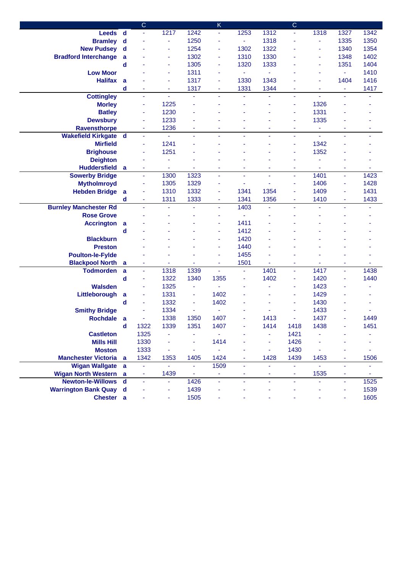|                                            |                | $\mathsf{C}$   |                |      | K              |              |      | $\mathsf{C}$             |                          |                |      |
|--------------------------------------------|----------------|----------------|----------------|------|----------------|--------------|------|--------------------------|--------------------------|----------------|------|
| <b>Leeds</b>                               | $\mathbf d$    |                | 1217           | 1242 | $\equiv$       | 1253         | 1312 | ÷                        | 1318                     | 1327           | 1342 |
| <b>Bramley</b>                             | $\mathbf d$    |                | $\blacksquare$ | 1250 | ä,             | ä,           | 1318 | ä,                       | $\overline{\phantom{a}}$ | 1335           | 1350 |
| <b>New Pudsey</b>                          | $\mathbf d$    |                | ٠              | 1254 | Ξ              | 1302         | 1322 |                          |                          | 1340           | 1354 |
| <b>Bradford Interchange</b>                | a              |                | ٠              | 1302 | $\blacksquare$ | 1310         | 1330 |                          |                          | 1348           | 1402 |
|                                            | d              |                | ٠              | 1305 | ä,             | 1320         | 1333 |                          |                          | 1351           | 1404 |
| <b>Low Moor</b>                            |                |                | ÷,             | 1311 | ä,             | ÷,           | ٠    |                          |                          | ÷,             | 1410 |
| <b>Halifax</b>                             | a              |                | ä,             | 1317 | ä,             | 1330         | 1343 |                          |                          | 1404           | 1416 |
|                                            | $\mathbf d$    | ٠              | $\blacksquare$ | 1317 | ٠              | 1331         | 1344 | ٠                        | ٠                        | $\blacksquare$ | 1417 |
| <b>Cottingley</b>                          |                | $\blacksquare$ | $\omega$       | ä,   | ÷              | Ξ            | ä,   | $\blacksquare$           | ÷.                       | ÷.             | ٠    |
| <b>Morley</b>                              |                | ÷              | 1225           | ä,   |                |              |      | $\blacksquare$           | 1326                     |                |      |
| <b>Batley</b>                              |                | ÷              | 1230           |      |                |              |      | $\blacksquare$           | 1331                     |                |      |
| <b>Dewsbury</b>                            |                | ۰              | 1233           |      |                |              |      | ٠                        | 1335                     |                |      |
| <b>Ravensthorpe</b>                        |                | ÷              | 1236           | ۰    |                |              | ۰    | ä,                       |                          | ۰              | ٠    |
| <b>Wakefield Kirkgate</b>                  | $\mathbf d$    | ä,             | $\blacksquare$ | ä,   |                | ÷.           | ä,   | $\blacksquare$           | $\blacksquare$           | ä,             | ÷,   |
| <b>Mirfield</b>                            |                | ٠              | 1241           |      |                |              |      | ä,                       | 1342                     |                |      |
| <b>Brighouse</b>                           |                | ÷              | 1251           |      |                |              |      | ä,                       | 1352                     |                |      |
| <b>Deighton</b>                            |                |                | ٠              |      |                |              |      |                          |                          |                |      |
| <b>Huddersfield</b>                        | a              | ٠              | $\blacksquare$ | ä,   | ٠              | ٠            | Ξ    | $\blacksquare$           |                          | ä,             | ٠    |
| <b>Sowerby Bridge</b>                      |                | $\blacksquare$ | 1300           | 1323 | ä,             | ÷,           | ä,   | $\Box$                   | 1401                     | ä,             | 1423 |
| <b>Mytholmroyd</b>                         |                | ä,             | 1305           | 1329 | ä,             | ä,           |      | $\blacksquare$           | 1406                     | ä,             | 1428 |
| <b>Hebden Bridge</b>                       | $\overline{a}$ | ä,             | 1310           | 1332 | ä,             | 1341         | 1354 | ä,                       | 1409                     | ä,             | 1431 |
|                                            | d              | $\blacksquare$ | 1311           | 1333 | $\blacksquare$ | 1341         | 1356 | ÷                        | 1410                     | ÷              | 1433 |
| <b>Burnley Manchester Rd</b>               |                | ÷.             | $\blacksquare$ |      | ÷.             | 1403         |      | ä,                       |                          | ä,             |      |
| <b>Rose Grove</b>                          |                |                |                |      | i,             |              |      |                          |                          |                |      |
| <b>Accrington</b>                          | a              |                |                |      | ۰              | 1411         |      |                          |                          |                |      |
|                                            | d              |                |                |      | ٠              | 1412         |      |                          |                          |                |      |
| <b>Blackburn</b>                           |                |                |                |      | ٠              | 1420         |      |                          |                          |                |      |
| <b>Preston</b>                             |                |                |                |      | ٠              | 1440<br>1455 |      |                          |                          |                |      |
| <b>Poulton-le-Fylde</b>                    |                |                |                |      | ٠<br>٠         | 1501         |      |                          |                          |                |      |
| <b>Blackpool North</b><br><b>Todmorden</b> | a<br>a         | $\blacksquare$ | 1318           | 1339 | $\blacksquare$ | Ξ            | 1401 | $\blacksquare$           | 1417                     | ٠<br>ä,        | 1438 |
|                                            | $\mathbf d$    | ä,             | 1322           | 1340 | 1355           | Ξ            | 1402 | $\blacksquare$           | 1420                     | ä,             | 1440 |
| <b>Walsden</b>                             |                |                | 1325           | ٠    |                |              |      | ٠                        | 1423                     |                |      |
| Littleborough                              | a              | ٠              | 1331           | ٠    | 1402           |              |      | ٠                        | 1429                     |                |      |
|                                            | d              | $\blacksquare$ | 1332           | ٠    | 1402           |              |      | $\blacksquare$           | 1430                     |                |      |
| <b>Smithy Bridge</b>                       |                |                | 1334           | ä,   | L,             |              |      |                          | 1433                     |                |      |
| <b>Rochdale</b>                            | a              | ä,             | 1338           | 1350 | 1407           |              | 1413 |                          | 1437                     |                | 1449 |
|                                            | d              | 1322           | 1339           | 1351 | 1407           |              | 1414 | 1418                     | 1438                     |                | 1451 |
| <b>Castleton</b>                           |                | 1325           | ٠              |      | ä,             |              | ۰    | 1421                     |                          |                |      |
| <b>Mills Hill</b>                          |                | 1330           |                | ä,   | 1414           |              | Ξ    | 1426                     |                          |                |      |
| <b>Moston</b>                              |                | 1333           | ٠              |      | ٠              |              | ٠    | 1430                     |                          |                |      |
| <b>Manchester Victoria</b>                 | <b>a</b>       | 1342           | 1353           | 1405 | 1424           | ٠            | 1428 | 1439                     | 1453                     | ٠              | 1506 |
| Wigan Wallgate a                           |                | ÷              | $\omega$       |      | 1509           | Ξ            | ä,   | $\blacksquare$           |                          | ÷,             |      |
| <b>Wigan North Western</b>                 | a              | ٠              | 1439           | ÷    | ٠              | ۰            | ۰    | ٠                        | 1535                     | $\blacksquare$ | ٠    |
| <b>Newton-le-Willows</b>                   | $\mathbf d$    | $\blacksquare$ | $\blacksquare$ | 1426 | Ξ              | Ξ            | Ξ    | $\overline{\phantom{a}}$ |                          | Ξ              | 1525 |
| <b>Warrington Bank Quay d</b>              |                |                | ٠              | 1439 |                |              |      |                          |                          | ۰              | 1539 |
| Chester a                                  |                |                | ۰              | 1505 |                |              |      |                          |                          |                | 1605 |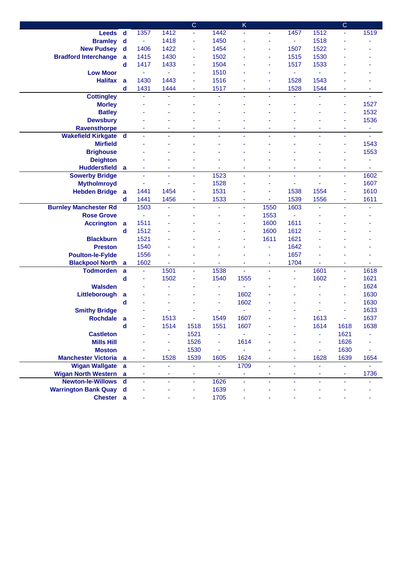|                              |                |                |                | $\overline{C}$ |                | $\overline{\mathsf{K}}$ |      |                |                | $\overline{C}$ |                |
|------------------------------|----------------|----------------|----------------|----------------|----------------|-------------------------|------|----------------|----------------|----------------|----------------|
| <b>Leeds</b>                 | $\mathbf d$    | 1357           | 1412           | Ξ              | 1442           | ä,                      |      | 1457           | 1512           |                | 1519           |
| <b>Bramley</b>               | $\mathbf d$    | $\blacksquare$ | 1418           | ٠              | 1450           |                         |      | $\sim$         | 1518           |                |                |
| <b>New Pudsey</b>            | $\mathbf d$    | 1406           | 1422           | ٠              | 1454           |                         | ٠    | 1507           | 1522           |                |                |
| <b>Bradford Interchange</b>  | $\mathbf{a}$   | 1415           | 1430           | ٠              | 1502           |                         | ä,   | 1515           | 1530           |                |                |
|                              | $\mathbf d$    | 1417           | 1433           | ٠              | 1504           |                         | ä,   | 1517           | 1533           |                |                |
| <b>Low Moor</b>              |                | $\blacksquare$ | ä,             | ٠              | 1510           |                         | ٠    | $\blacksquare$ | Ξ              |                |                |
| <b>Halifax</b>               | a              | 1430           | 1443           | ٠              | 1516           |                         | ä,   | 1528           | 1543           |                |                |
|                              | $\mathbf d$    | 1431           | 1444           | Ξ              | 1517           | ä,                      | ä,   | 1528           | 1544           |                |                |
| <b>Cottingley</b>            |                | ÷              | ä,             | ä,             | ä,             | ÷,                      | ÷,   | ä,             | ÷              | ÷.             | ÷              |
| <b>Morley</b>                |                |                |                |                |                |                         |      |                |                | ٠              | 1527           |
| <b>Batley</b>                |                |                |                |                |                |                         |      |                |                | ٠              | 1532           |
| <b>Dewsbury</b>              |                |                |                |                |                |                         |      |                |                | ٠              | 1536           |
| <b>Ravensthorpe</b>          |                | ۰              | ٠              | ٠              | ٠              | ٠                       | ٠    | ۰              | ٠              | ۰              | ٠              |
| <b>Wakefield Kirkgate d</b>  |                | ۰              | ٠              | $\blacksquare$ | ٠              | ٠                       | ٠    | $\blacksquare$ | $\blacksquare$ | Ξ              | $\blacksquare$ |
| <b>Mirfield</b>              |                |                |                |                |                |                         |      |                |                | ä,             | 1543           |
| <b>Brighouse</b>             |                |                |                |                |                |                         |      |                |                |                | 1553           |
| <b>Deighton</b>              |                |                |                |                |                |                         |      |                |                |                |                |
| <b>Huddersfield</b>          | $\overline{a}$ | ä,             |                | ٠              |                | ä,                      |      | ä,             |                | ٠              |                |
| <b>Sowerby Bridge</b>        |                | ۰              | ٠              | ٠              | 1523           | ÷,                      | ٠    | ٠              | ٠              | ٠              | 1602           |
| <b>Mytholmroyd</b>           |                |                | ÷,             | ٠              | 1528           | ÷,                      | ٠    | $\blacksquare$ |                | ٠              | 1607           |
| <b>Hebden Bridge</b>         | $\overline{a}$ | 1441           | 1454           | Ξ              | 1531           |                         | ä,   | 1538           | 1554           | ä,             | 1610           |
|                              | $\mathbf d$    | 1441           | 1456           | ٠              | 1533           | ٠                       | Ξ    | 1539           | 1556           | Ξ              | 1611           |
| <b>Burnley Manchester Rd</b> |                | 1503           | ÷.             | $\blacksquare$ | ٠              | Ξ                       | 1550 | 1603           |                | ä,             | ٠              |
| <b>Rose Grove</b>            |                | ä,             |                |                |                | Ξ                       | 1553 | ä,             |                |                |                |
| <b>Accrington</b>            | a              | 1511           |                |                |                | ۰                       | 1600 | 1611           |                |                |                |
|                              | $\mathbf d$    | 1512           |                |                |                |                         | 1600 | 1612           |                |                |                |
| <b>Blackburn</b>             |                | 1521           |                |                |                | ä,                      | 1611 | 1621           |                |                |                |
| <b>Preston</b>               |                | 1540           |                |                |                | ٠                       | ä,   | 1642           |                |                |                |
| <b>Poulton-le-Fylde</b>      |                | 1556           |                |                |                |                         | ä,   | 1657           |                |                |                |
| <b>Blackpool North</b>       | a              | 1602           | ۰              | ٠              | ۰              | ÷                       | ۰    | 1704           |                | ۰              | ۰              |
| <b>Todmorden</b>             | $\mathbf{a}$   | $\blacksquare$ | 1501           | Ξ              | 1538           | ä,                      |      | $\blacksquare$ | 1601           | Ξ              | 1618           |
|                              | $\mathbf d$    |                | 1502           |                | 1540           | 1555                    |      | ÷              | 1602           | ٠              | 1621           |
| <b>Walsden</b>               |                |                |                |                | ä,             |                         |      |                |                | ٠              | 1624           |
| Littleborough                | a              |                |                |                |                | 1602                    |      |                |                | ٠              | 1630           |
|                              | $\mathbf d$    |                |                |                |                | 1602                    |      |                |                |                | 1630           |
| <b>Smithy Bridge</b>         |                |                |                |                |                |                         |      |                |                |                | 1633           |
| <b>Rochdale</b>              | a              |                | 1513           |                | 1549           | 1607                    |      |                | 1613           |                | 1637           |
|                              | d              |                | 1514           | 1518           | 1551           | 1607                    |      |                | 1614           | 1618           | 1638           |
| <b>Castleton</b>             |                |                | ä,             | 1521           | $\blacksquare$ |                         |      |                | ۰              | 1621           |                |
| <b>Mills Hill</b>            |                |                | Ξ              | 1526           | ۰              | 1614                    |      |                | Ξ              | 1626           |                |
| <b>Moston</b>                |                |                | $\blacksquare$ | 1530           | ٠              |                         |      |                | $\blacksquare$ | 1630           |                |
| <b>Manchester Victoria</b> a |                | ۰              | 1528           | 1539           | 1605           | 1624                    |      |                | 1628           | 1639           | 1654           |
| <b>Wigan Wallgate</b>        | $\mathbf{a}$   | ä,             | ÷.             | ÷              | ä,             | 1709                    | ä,   | ÷.             |                | ä,             |                |
| <b>Wigan North Western</b>   | $\overline{a}$ |                | ٠              | ٠              | $\blacksquare$ | Ξ                       |      |                |                | ٠              | 1736           |
| <b>Newton-le-Willows</b>     | $\mathbf d$    | ä,             | ÷.             | ä,             | 1626           | $\blacksquare$          | ÷.   | ä,             | ä,             | ÷.             |                |
| <b>Warrington Bank Quay</b>  | $\mathbf d$    |                |                | ٠              | 1639           |                         |      |                |                |                |                |
| Chester a                    |                |                |                | Ξ              | 1705           |                         |      |                |                |                |                |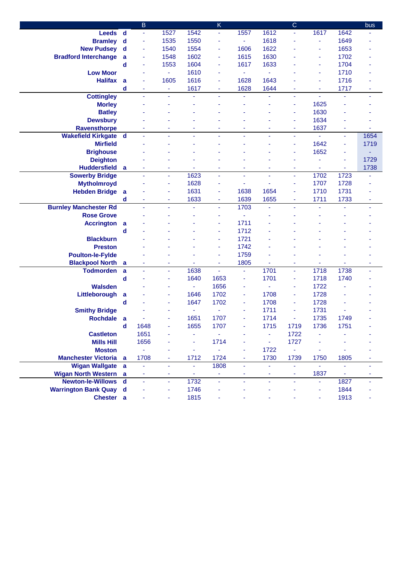|                               |                | B                        |                |                | K              |      |      | $\mathsf{C}$             |                          |                | bus            |
|-------------------------------|----------------|--------------------------|----------------|----------------|----------------|------|------|--------------------------|--------------------------|----------------|----------------|
| <b>Leeds</b>                  | $\mathsf{d}$   | $\overline{\phantom{a}}$ | 1527           | 1542           | $\blacksquare$ | 1557 | 1612 | ä,                       | 1617                     | 1642           |                |
| <b>Bramley</b>                | $\mathbf d$    | $\blacksquare$           | 1535           | 1550           | Ξ              | ÷.   | 1618 | ٠                        | ٠                        | 1649           |                |
| <b>New Pudsey</b>             | $\mathbf d$    | $\blacksquare$           | 1540           | 1554           | ٠              | 1606 | 1622 |                          |                          | 1653           |                |
| <b>Bradford Interchange</b>   | a              | ÷                        | 1548           | 1602           | Ξ              | 1615 | 1630 |                          |                          | 1702           |                |
|                               | d              | ÷                        | 1553           | 1604           | Ξ              | 1617 | 1633 |                          |                          | 1704           |                |
| <b>Low Moor</b>               |                | ٠                        | $\blacksquare$ | 1610           | ä,             | ÷    | ٠    |                          | $\overline{\phantom{a}}$ | 1710           |                |
| <b>Halifax</b>                | a              | ٠                        | 1605           | 1616           | $\blacksquare$ | 1628 | 1643 |                          | $\blacksquare$           | 1716           |                |
|                               | d              | ä,                       | $\blacksquare$ | 1617           | Ξ              | 1628 | 1644 | ä,                       | Ξ                        | 1717           |                |
| <b>Cottingley</b>             |                | $\blacksquare$           | $\blacksquare$ |                | ٠              | ٠    | ä,   | $\overline{\phantom{a}}$ | $\blacksquare$           | ä,             | $\blacksquare$ |
| <b>Morley</b>                 |                |                          |                |                |                |      |      | ٠                        | 1625                     |                |                |
| <b>Batley</b>                 |                |                          |                |                |                |      |      | $\blacksquare$           | 1630                     |                |                |
| <b>Dewsbury</b>               |                |                          |                |                |                |      |      | ٠                        | 1634                     |                |                |
| <b>Ravensthorpe</b>           |                |                          |                | ۰              |                |      | ۰    | ۰                        | 1637                     | ۰              |                |
| <b>Wakefield Kirkgate d</b>   |                |                          |                | ä,             |                |      | ä,   | ä,                       |                          | ÷              | 1654           |
| <b>Mirfield</b>               |                |                          |                |                |                |      |      | ä,                       | 1642                     | ä,             | 1719           |
| <b>Brighouse</b>              |                |                          |                |                |                |      |      | ٠                        | 1652                     | ٠              |                |
| <b>Deighton</b>               |                |                          |                |                |                |      |      |                          |                          | ä,             | 1729           |
| <b>Huddersfield</b>           | a              | ä,                       | ۰              |                | ä,             | ٠    | ä,   | ۰                        |                          | ä,             | 1738           |
| <b>Sowerby Bridge</b>         |                |                          | ÷              | 1623           | ä,             | ÷.   | L,   | ÷,                       | 1702                     | 1723           |                |
| <b>Mytholmroyd</b>            |                |                          | $\blacksquare$ | 1628           | $\blacksquare$ | ä,   |      | $\blacksquare$           | 1707                     | 1728           |                |
| <b>Hebden Bridge</b>          | $\overline{a}$ |                          | ٠              | 1631           | $\blacksquare$ | 1638 | 1654 | ä,                       | 1710                     | 1731           |                |
|                               | d              | ٠                        | ٠              | 1633           | $\blacksquare$ | 1639 | 1655 | ٠                        | 1711                     | 1733           |                |
| <b>Burnley Manchester Rd</b>  |                |                          | ÷              |                | ÷.             | 1703 | ä,   | ä,                       |                          | ä,             | ÷              |
| <b>Rose Grove</b>             |                |                          |                |                | ٠              | ä,   |      |                          |                          |                |                |
| <b>Accrington</b>             | a              |                          |                |                | ä,             | 1711 |      |                          |                          |                |                |
|                               | d              |                          |                |                | ٠              | 1712 |      |                          |                          |                |                |
| <b>Blackburn</b>              |                |                          |                |                | ٠              | 1721 |      |                          |                          |                |                |
| <b>Preston</b>                |                |                          |                |                | ٠              | 1742 |      |                          |                          |                |                |
| <b>Poulton-le-Fylde</b>       |                |                          |                |                | ٠              | 1759 |      |                          |                          |                |                |
| <b>Blackpool North</b>        | a              |                          |                |                | ٠              | 1805 |      |                          |                          |                |                |
| <b>Todmorden</b>              | a              | ä,                       | $\blacksquare$ | 1638           | ä,             | ä,   | 1701 | ä,                       | 1718                     | 1738           |                |
|                               | d              |                          | ٠              | 1640           | 1653           | ÷    | 1701 | $\blacksquare$           | 1718                     | 1740           |                |
| <b>Walsden</b>                |                |                          |                | $\blacksquare$ | 1656           | ٠    | ä,   | $\blacksquare$           | 1722                     |                |                |
| Littleborough                 | a              |                          |                | 1646           | 1702           | ÷    | 1708 | $\blacksquare$           | 1728                     |                |                |
|                               | d              |                          |                | 1647           | 1702           | ٠    | 1708 | ٠                        | 1728                     |                |                |
| <b>Smithy Bridge</b>          |                |                          |                | ä,             | ä,             |      | 1711 | $\blacksquare$           | 1731                     |                |                |
| <b>Rochdale</b>               | a              |                          |                | 1651           | 1707           | ä,   | 1714 | ÷,                       | 1735                     | 1749           |                |
|                               | d              | 1648                     |                | 1655           | 1707           |      | 1715 | 1719                     | 1736                     | 1751           |                |
| <b>Castleton</b>              |                | 1651                     |                |                | ۰              |      | ٠    | 1722                     |                          |                |                |
| <b>Mills Hill</b>             |                | 1656                     |                | ۰              | 1714           |      | ÷,   | 1727                     |                          |                |                |
| <b>Moston</b>                 |                | ÷,                       |                | $\blacksquare$ | $\blacksquare$ |      | 1722 | ÷.                       |                          |                |                |
| <b>Manchester Victoria</b> a  |                | 1708                     |                | 1712           | 1724           | Ξ    | 1730 | 1739                     | 1750                     | 1805           |                |
| Wigan Wallgate a              |                | ä,                       | $\blacksquare$ | ä,             | 1808           | ä,   | ä,   | ÷.                       | ä,                       | ä,             | ٠              |
| <b>Wigan North Western</b> a  |                | ٠                        | ٠              | $\omega$       | $\equiv$       | ٠    | ۰    | ٠                        | 1837                     | $\blacksquare$ | ٠              |
| Newton-le-Willows d           |                | $\blacksquare$           | $\blacksquare$ | 1732           | ä,             | ä,   | ä,   | $\omega$                 | Ξ                        | 1827           |                |
| <b>Warrington Bank Quay d</b> |                |                          |                | 1746           |                |      |      |                          |                          | 1844           |                |
| Chester a                     |                |                          | ٠              | 1815           |                |      |      |                          | ٠                        | 1913           |                |
|                               |                |                          |                |                |                |      |      |                          |                          |                |                |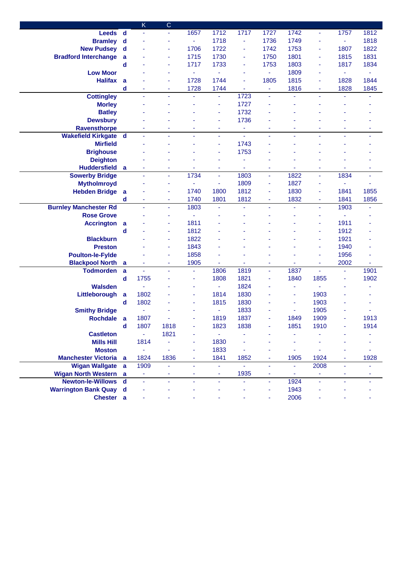|                               |              | K                        | $\mathsf{C}$   |                |                |      |                |                          |                          |                |      |
|-------------------------------|--------------|--------------------------|----------------|----------------|----------------|------|----------------|--------------------------|--------------------------|----------------|------|
| <b>Leeds</b>                  | $\mathsf{d}$ | $\blacksquare$           | Ξ              | 1657           | 1712           | 1717 | 1727           | 1742                     | ÷                        | 1757           | 1812 |
| <b>Bramley</b>                | $\mathsf{d}$ |                          |                | $\blacksquare$ | 1718           | ٠    | 1736           | 1749                     |                          | $\equiv$       | 1818 |
| <b>New Pudsey</b>             | $\mathbf d$  |                          | ٠              | 1706           | 1722           | Ξ    | 1742           | 1753                     | $\blacksquare$           | 1807           | 1822 |
| <b>Bradford Interchange</b>   | a            |                          |                | 1715           | 1730           | Ξ    | 1750           | 1801                     |                          | 1815           | 1831 |
|                               | d            |                          | ٠              | 1717           | 1733           | ٠    | 1753           | 1803                     |                          | 1817           | 1834 |
| <b>Low Moor</b>               |              |                          |                | ٠              | $\blacksquare$ | ٠    | ä,             | 1809                     | ۰                        | $\blacksquare$ | ٠    |
| <b>Halifax</b>                | a            |                          | ÷              | 1728           | 1744           | ٠    | 1805           | 1815                     | ۰                        | 1828           | 1844 |
|                               | $\mathbf d$  | ٠                        | ٠              | 1728           | 1744           | ۰    | $\blacksquare$ | 1816                     | ٠                        | 1828           | 1845 |
| <b>Cottingley</b>             |              | $\overline{\phantom{a}}$ | ۰              |                | ٠              | 1723 | ۰              |                          | ٠                        | ä,             |      |
| <b>Morley</b>                 |              |                          |                |                | ä,             | 1727 |                |                          |                          |                |      |
| <b>Batley</b>                 |              |                          |                |                | ä,             | 1732 |                |                          |                          |                |      |
| <b>Dewsbury</b>               |              |                          |                |                |                | 1736 |                |                          |                          |                |      |
| <b>Ravensthorpe</b>           |              |                          |                | ä,             | ٠              | Ξ    | ä,             |                          |                          | ä,             |      |
| <b>Wakefield Kirkgate</b>     | $\mathsf{d}$ |                          |                |                | ÷.             | ä,   | L,             |                          |                          |                |      |
| <b>Mirfield</b>               |              |                          |                |                | ä,             | 1743 |                |                          |                          |                |      |
| <b>Brighouse</b>              |              |                          |                |                | ä,             | 1753 |                |                          |                          |                |      |
| <b>Deighton</b>               |              |                          |                |                |                |      |                |                          |                          |                |      |
| <b>Huddersfield</b>           | a            |                          | ٠              | ٠              |                | ٠    |                |                          |                          | ٠              |      |
| <b>Sowerby Bridge</b>         |              |                          | Ξ              | 1734           | ä,             | 1803 | L,             | 1822                     | $\blacksquare$           | 1834           | ä,   |
| <b>Mytholmroyd</b>            |              |                          | ٠              | $\blacksquare$ | $\blacksquare$ | 1809 | ä,             | 1827                     |                          | $\blacksquare$ | ä,   |
| <b>Hebden Bridge</b>          | a            |                          | ٠              | 1740           | 1800           | 1812 | ä,             | 1830                     |                          | 1841           | 1855 |
|                               | d            | ٠                        | ۰              | 1740           | 1801           | 1812 | ۰              | 1832                     | ٠                        | 1841           | 1856 |
| <b>Burnley Manchester Rd</b>  |              | ä,                       | ÷,             | 1803           | ä,             |      | ä,             | ä,                       | $\overline{\phantom{a}}$ | 1903           | ٠    |
| <b>Rose Grove</b>             |              |                          | ٠              |                |                |      |                |                          |                          |                |      |
| <b>Accrington</b>             | a            |                          | ٠              | 1811           |                |      |                |                          | $\blacksquare$           | 1911           |      |
|                               | d            |                          | ٠              | 1812           |                |      |                |                          |                          | 1912           |      |
| <b>Blackburn</b>              |              |                          |                | 1822           |                |      |                |                          |                          | 1921           |      |
| <b>Preston</b>                |              |                          |                | 1843           |                |      |                |                          |                          | 1940           |      |
| <b>Poulton-le-Fylde</b>       |              |                          |                | 1858           |                |      |                |                          |                          | 1956           |      |
| <b>Blackpool North</b>        | a            |                          | ٠              | 1905           |                |      | ä,             |                          |                          | 2002           |      |
| <b>Todmorden</b>              | $\mathbf a$  |                          |                |                | 1806           | 1819 | ä,             | 1837                     |                          | ä,             | 1901 |
|                               | $\mathbf d$  | 1755                     |                | ٠              | 1808           | 1821 | ä,             | 1840                     | 1855                     | ä,             | 1902 |
| <b>Walsden</b>                |              | ÷,                       |                | ٠              | $\omega$       | 1824 |                | ٠                        |                          |                |      |
| Littleborough                 | $\mathbf{a}$ | 1802                     |                | ٠              | 1814           | 1830 |                | ۰                        | 1903                     |                |      |
|                               | $\mathbf d$  | 1802                     |                | ٠              | 1815           | 1830 |                | ٠                        | 1903                     |                |      |
| <b>Smithy Bridge</b>          |              | ä,                       |                |                | $\blacksquare$ | 1833 |                | $\overline{\phantom{a}}$ | 1905                     |                |      |
| <b>Rochdale</b>               | a            | 1807                     |                |                | 1819           | 1837 | ä,             | 1849                     | 1909                     |                | 1913 |
|                               | d            | 1807                     | 1818           |                | 1823           | 1838 |                | 1851                     | 1910                     |                | 1914 |
| <b>Castleton</b>              |              | $\omega_{\rm c}$         | 1821           |                | $\equiv$       |      |                |                          |                          |                |      |
| <b>Mills Hill</b>             |              | 1814                     | ÷,             |                | 1830           |      |                |                          |                          |                |      |
| <b>Moston</b>                 |              | ÷                        | ä,             | ٠              | 1833           |      |                | ä,                       |                          |                |      |
| <b>Manchester Victoria</b> a  |              | 1824                     | 1836           | ٠              | 1841           | 1852 | ۰              | 1905                     | 1924                     |                | 1928 |
| Wigan Wallgate a              |              | 1909                     | $\blacksquare$ | ۰              | ٠              | ä,   | Ξ              | $\blacksquare$           | 2008                     | ٠              |      |
| <b>Wigan North Western a</b>  |              | ٠                        | ۰              |                | ۰              | 1935 | ۰              | ÷                        |                          |                |      |
| Newton-le-Willows d           |              | ä,                       | $\blacksquare$ |                | ÷,             | ä,   | $\blacksquare$ | 1924                     |                          | ٠              |      |
| <b>Warrington Bank Quay d</b> |              |                          |                |                |                |      |                | 1943                     |                          |                |      |
| Chester a                     |              |                          |                |                |                |      |                | 2006                     |                          |                |      |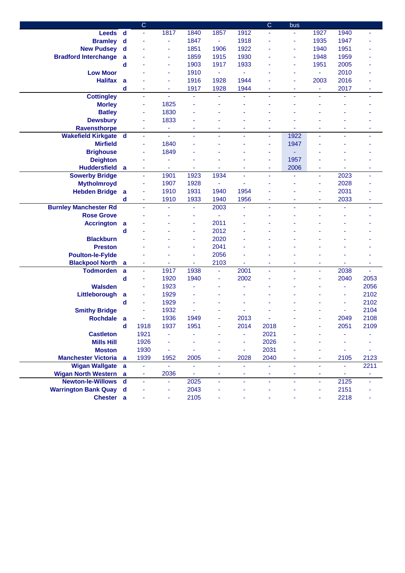|                                                  |                | $\mathsf{C}$        |                |           |                |        | $\mathsf C$  | bus  |                          |            |                |
|--------------------------------------------------|----------------|---------------------|----------------|-----------|----------------|--------|--------------|------|--------------------------|------------|----------------|
| <b>Leeds</b>                                     | $\mathbf d$    | ä,                  | 1817           | 1840      | 1857           | 1912   |              | ٠    | 1927                     | 1940       |                |
| <b>Bramley</b>                                   | $\mathbf d$    |                     | ÷,             | 1847      | $\omega$       | 1918   |              | ٠    | 1935                     | 1947       |                |
| <b>New Pudsey</b>                                | $\mathbf d$    |                     | ٠              | 1851      | 1906           | 1922   |              | ۰    | 1940                     | 1951       |                |
| <b>Bradford Interchange</b>                      | a              |                     | ٠              | 1859      | 1915           | 1930   |              | ٠    | 1948                     | 1959       |                |
|                                                  | d              |                     | ٠              | 1903      | 1917           | 1933   |              | ٠    | 1951                     | 2005       |                |
| <b>Low Moor</b>                                  |                |                     | ÷,             | 1910      | $\blacksquare$ |        |              | ä,   | ÷                        | 2010       |                |
| <b>Halifax</b>                                   | a              |                     | ä,             | 1916      | 1928           | 1944   |              | ä,   | 2003                     | 2016       |                |
|                                                  | $\mathbf d$    | ٠                   | ÷              | 1917      | 1928           | 1944   | ä,           | ٠    | Ξ                        | 2017       | ٠              |
| <b>Cottingley</b>                                |                | ä,                  | $\omega$       | ä,        | ä,             | ä,     | ä,           | ÷,   | $\overline{\phantom{a}}$ | ä,         | ٠              |
| <b>Morley</b>                                    |                | ÷                   | 1825           |           |                |        |              |      |                          |            |                |
| <b>Batley</b>                                    |                | ÷                   | 1830           |           |                |        |              |      |                          |            |                |
| <b>Dewsbury</b>                                  |                | ۰                   | 1833           |           |                |        |              |      |                          |            |                |
| <b>Ravensthorpe</b>                              |                | ۰                   | ÷              | ۰         |                |        | ۰            |      |                          | ۰          |                |
| <b>Wakefield Kirkgate</b>                        | $\mathbf d$    | ä,                  | $\blacksquare$ | ä,        |                | ä,     | ÷,           | 1922 |                          | ä,         | ÷,             |
| <b>Mirfield</b>                                  |                | ٠                   | 1840           |           |                |        | ä,           | 1947 |                          |            |                |
| <b>Brighouse</b>                                 |                | ÷                   | 1849           |           |                |        | ä,           |      |                          |            |                |
| <b>Deighton</b>                                  |                |                     | ٠              |           |                |        | ä,           | 1957 |                          |            |                |
| <b>Huddersfield</b>                              | a              | ٠                   | $\blacksquare$ | ٠         | ٠              | ٠      | Ξ            | 2006 | $\blacksquare$           | ٠          | $\blacksquare$ |
| <b>Sowerby Bridge</b>                            |                | ä,                  | 1901           | 1923      | 1934           | ä,     | ä,           | ä,   | ÷.                       | 2023       | ä,             |
| <b>Mytholmroyd</b>                               |                | ä,                  | 1907           | 1928      | $\blacksquare$ | ä,     |              |      |                          | 2028       |                |
| <b>Hebden Bridge</b>                             | $\overline{a}$ | ä,                  | 1910           | 1931      | 1940           | 1954   |              |      |                          | 2031       |                |
|                                                  | d              | $\blacksquare$      | 1910           | 1933      | 1940           | 1956   | ٠            | ۰    | ۰                        | 2033       |                |
| <b>Burnley Manchester Rd</b>                     |                |                     | $\blacksquare$ | ä,        | 2003           | ä,     | ä,           |      |                          | ÷,         | ÷              |
| <b>Rose Grove</b>                                |                |                     |                | ٠         | ä,             |        |              |      |                          |            |                |
| <b>Accrington</b>                                | a              |                     |                | ٠         | 2011           |        |              |      |                          |            |                |
|                                                  | d              |                     |                | ٠         | 2012           |        |              |      |                          |            |                |
| <b>Blackburn</b>                                 |                |                     |                | ٠         | 2020           |        |              |      |                          |            |                |
| <b>Preston</b>                                   |                |                     |                | ٠         | 2041           |        |              |      |                          |            |                |
| <b>Poulton-le-Fylde</b>                          |                |                     |                | ۰         | 2056           |        |              |      |                          |            |                |
| <b>Blackpool North</b>                           | a              |                     |                | ۰         | 2103           |        | ٠            |      |                          |            |                |
| <b>Todmorden</b>                                 | a              | ä,                  | 1917           | 1938      | Ξ              | 2001   | ä,           | ä,   | $\overline{\phantom{a}}$ | 2038       | ä,             |
|                                                  | $\mathbf d$    | ä,                  | 1920           | 1940      |                | 2002   |              |      |                          | 2040       | 2053           |
| <b>Walsden</b>                                   |                |                     | 1923           |           |                |        |              |      |                          | ä,         | 2056           |
| Littleborough                                    |                | ٠                   | 1929           |           |                |        |              |      |                          | ä,         | 2102           |
|                                                  | a<br>d         | $\blacksquare$      | 1929           |           |                |        |              |      |                          | ä,         | 2102           |
| <b>Smithy Bridge</b>                             |                |                     | 1932           |           |                |        |              |      |                          | ä,         | 2104           |
| <b>Rochdale</b>                                  |                | ä,                  | 1936           | 1949      |                | 2013   |              |      |                          | 2049       | 2108           |
|                                                  | a<br>d         | 1918                | 1937           | 1951      |                | 2014   | 2018         |      |                          | 2051       | 2109           |
|                                                  |                |                     |                |           |                |        |              |      |                          |            |                |
| <b>Castleton</b>                                 |                | 1921                | ٠              |           |                |        | 2021<br>2026 |      |                          |            |                |
| <b>Mills Hill</b>                                |                | 1926                |                |           |                | ٠      |              |      |                          |            |                |
| <b>Moston</b>                                    |                | 1930                | ٠              |           |                | ٠      | 2031         |      |                          |            |                |
| <b>Manchester Victoria</b> a                     |                | 1939                | 1952<br>ä,     | 2005      | ÷,             | 2028   | 2040         | ÷    | $\overline{\phantom{a}}$ | 2105<br>ä, | 2123<br>2211   |
| Wigan Wallgate a<br><b>Wigan North Western</b> a |                | ÷                   | 2036           |           |                |        |              | ۰    | ٠                        |            | Ξ              |
| <b>Newton-le-Willows</b>                         | $\mathbf d$    | ٠<br>$\blacksquare$ | $\blacksquare$ | ٠<br>2025 | ٠<br>Ξ         | ۰<br>Ξ | ۰<br>Ξ       | ä,   | Ξ                        | ۰<br>2125  |                |
|                                                  |                |                     | ٠              | 2043      |                |        |              |      |                          | 2151       |                |
| <b>Warrington Bank Quay d</b>                    |                |                     |                |           |                |        |              |      |                          |            |                |
| Chester a                                        |                |                     | ۰              | 2105      |                |        |              |      |                          | 2218       |                |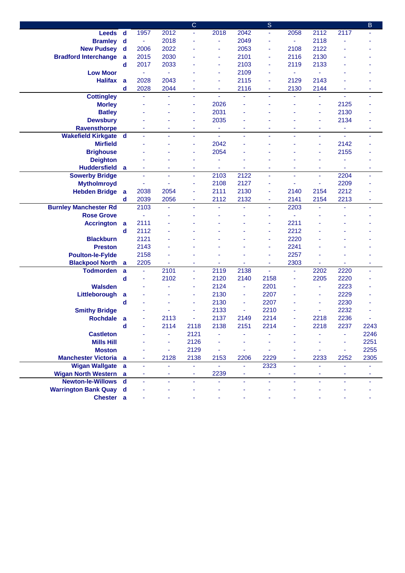|                               |                |                |                | $\mathsf C$ |                |                | $\mathbf S$    |                |                |                | B              |
|-------------------------------|----------------|----------------|----------------|-------------|----------------|----------------|----------------|----------------|----------------|----------------|----------------|
| <b>Leeds</b>                  | $\mathsf{d}$   | 1957           | 2012           | ۳           | 2018           | 2042           | $\blacksquare$ | 2058           | 2112           | 2117           |                |
| <b>Bramley</b>                | $\mathbf d$    | $\blacksquare$ | 2018           |             | ä,             | 2049           | ٠              | ٠              | 2118           |                |                |
| <b>New Pudsey</b>             | $\mathsf{d}$   | 2006           | 2022           |             | ä,             | 2053           | ÷              | 2108           | 2122           |                |                |
| <b>Bradford Interchange</b>   | a              | 2015           | 2030           |             | ٠              | 2101           | ä,             | 2116           | 2130           |                |                |
|                               | $\mathbf d$    | 2017           | 2033           |             | ä,             | 2103           | ä,             | 2119           | 2133           |                |                |
| <b>Low Moor</b>               |                | $\blacksquare$ | $\blacksquare$ |             | ä,             | 2109           | ٠              | ٠              |                |                |                |
| <b>Halifax</b>                | a              | 2028           | 2043           |             | $\blacksquare$ | 2115           | ä,             | 2129           | 2143           |                |                |
|                               | d              | 2028           | 2044           | ٠           |                | 2116           | Ξ              | 2130           | 2144           |                |                |
| <b>Cottingley</b>             |                | $\omega$       | ä,             | ä,          | ä,             | ä,             | ä,             | ä,             |                | ä,             | $\blacksquare$ |
| <b>Morley</b>                 |                |                |                | ٠           | 2026           |                |                |                |                | 2125           |                |
| <b>Batley</b>                 |                |                |                | ٠           | 2031           |                |                |                | ۰              | 2130           |                |
| <b>Dewsbury</b>               |                |                |                | ٠           | 2035           |                |                |                | ۰              | 2134           |                |
| <b>Ravensthorpe</b>           |                | ٠              | $\blacksquare$ | ٠           | $\blacksquare$ | ٠              | Ξ              | ٠              | ۰              | $\blacksquare$ | ٠              |
| <b>Wakefield Kirkgate d</b>   |                | ٠              | ÷,             | ٠           | $\blacksquare$ | $\blacksquare$ | ٠              | ä,             | $\blacksquare$ | $\blacksquare$ |                |
| <b>Mirfield</b>               |                |                |                | ٠           | 2042           |                |                |                |                | 2142           |                |
| <b>Brighouse</b>              |                |                |                | ٠           | 2054           |                |                |                |                | 2155           |                |
| <b>Deighton</b>               |                |                |                | ۰           |                |                |                |                |                |                |                |
| <b>Huddersfield</b>           | a              | ٠              |                | ٠           |                |                | ä,             |                | Ξ              |                | ٠              |
| <b>Sowerby Bridge</b>         |                | $\blacksquare$ | ÷,             | ä,          | 2103           | 2122           | ä,             | ÷,             | $\blacksquare$ | 2204           |                |
| <b>Mytholmroyd</b>            |                |                | ٠              | ٠           | 2108           | 2127           | Ξ              | ٠              |                | 2209           |                |
| <b>Hebden Bridge</b>          |                | 2038           | 2054           | ۰           | 2111           | 2130           | ٠              | 2140           | 2154           | 2212           |                |
|                               | a<br>d         | 2039           |                |             |                |                |                |                |                |                |                |
|                               |                |                | 2056           | ٠           | 2112           | 2132           | ٠              | 2141<br>2203   | 2154           | 2213           | $\blacksquare$ |
| <b>Burnley Manchester Rd</b>  |                | 2103           |                |             |                |                | ä,             |                |                |                | ٠              |
| <b>Rose Grove</b>             |                | $\blacksquare$ |                |             |                |                | Ξ              | Ξ              |                |                |                |
| <b>Accrington</b>             | $\overline{a}$ | 2111           |                |             |                |                | ä,             | 2211           |                |                |                |
|                               | d              | 2112           |                |             |                |                | ä,             | 2212           |                |                |                |
| <b>Blackburn</b>              |                | 2121           |                |             |                |                | ä,             | 2220           |                |                |                |
| <b>Preston</b>                |                | 2143           |                |             |                |                | ä,             | 2241           |                |                |                |
| <b>Poulton-le-Fylde</b>       |                | 2158           |                |             |                |                | ä,             | 2257           |                |                |                |
| <b>Blackpool North</b>        | $\mathbf a$    | 2205           | ä,             | ٠           | $\blacksquare$ |                | ۰              | 2303           |                | ä,             | ٠              |
| <b>Todmorden</b>              | a              | $\blacksquare$ | 2101           | ä,          | 2119           | 2138           | ä,             | $\blacksquare$ | 2202           | 2220           |                |
|                               | d              | ٠              | 2102           | ٠           | 2120           | 2140           | 2158           | ä,             | 2205           | 2220           |                |
| <b>Walsden</b>                |                |                |                | ۰           | 2124           | ٠              | 2201           |                |                | 2223           |                |
| Littleborough                 | a              |                |                | ۰           | 2130           | ۰              | 2207           |                | ۰              | 2229           |                |
|                               | d              |                |                | ۰           | 2130           | ٠              | 2207           |                |                | 2230           |                |
| <b>Smithy Bridge</b>          |                |                |                |             | 2133           |                | 2210           |                |                | 2232           |                |
| <b>Rochdale</b>               | a              |                | 2113           | ٠           | 2137           | 2149           | 2214           |                | 2218           | 2236           |                |
|                               | d              |                | 2114           | 2118        | 2138           | 2151           | 2214           |                | 2218           | 2237           | 2243           |
| <b>Castleton</b>              |                |                | ÷,             | 2121        | ä,             |                |                |                |                | ÷,             | 2246           |
| <b>Mills Hill</b>             |                |                | ä,             | 2126        |                |                |                |                |                | ä,             | 2251           |
| <b>Moston</b>                 |                |                | $\blacksquare$ | 2129        | ä,             | ä,             | ä,             |                |                | ä,             | 2255           |
| <b>Manchester Victoria</b> a  |                |                | 2128           | 2138        | 2153           | 2206           | 2229           |                | 2233           | 2252           | 2305           |
| Wigan Wallgate a              |                | ÷              | ÷.             | ä,          | ä,             | ÷.             | 2323           | ÷.             | ä,             | $\omega$       |                |
| <b>Wigan North Western</b> a  |                |                |                |             | 2239           | Ξ              | ÷              |                |                |                |                |
| Newton-le-Willows d           |                | Ξ              | ÷.             | ÷.          | ä,             | Ξ              | ä,             | ٠              | ä.             | ÷              |                |
| <b>Warrington Bank Quay d</b> |                |                |                |             |                |                |                |                |                |                |                |
| Chester a                     |                |                |                |             |                |                |                |                |                |                |                |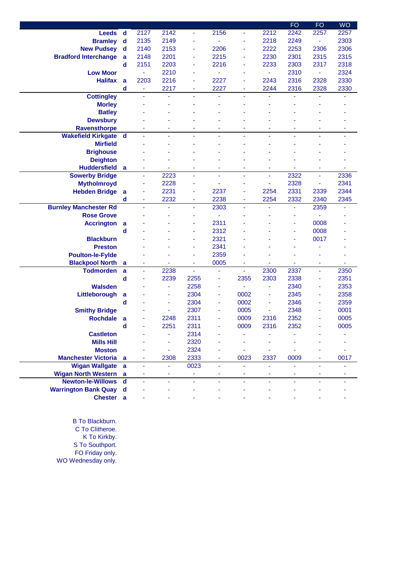|                              |              |      |                          |                |      |      |      | <b>FO</b> | <b>FO</b>                | <b>WO</b> |
|------------------------------|--------------|------|--------------------------|----------------|------|------|------|-----------|--------------------------|-----------|
| <b>Leeds</b>                 | $\mathbf d$  | 2127 | 2142                     | $\blacksquare$ | 2156 |      | 2212 | 2242      | 2257                     | 2257      |
| <b>Bramley</b>               | $\mathbf d$  | 2135 | 2149                     | ä,             |      |      | 2218 | 2249      | Ξ                        | 2303      |
| <b>New Pudsey</b>            | d            | 2140 | 2153                     | $\blacksquare$ | 2206 |      | 2222 | 2253      | 2306                     | 2306      |
| <b>Bradford Interchange</b>  | a            | 2148 | 2201                     | ä,             | 2215 | ۰    | 2230 | 2301      | 2315                     | 2315      |
|                              | d            | 2151 | 2203                     | ä,             | 2216 | ä,   | 2233 | 2303      | 2317                     | 2318      |
| <b>Low Moor</b>              |              | ÷    | 2210                     | ä,             |      |      | ÷,   | 2310      | ۰                        | 2324      |
| <b>Halifax</b>               | a            | 2203 | 2216                     | ÷,             | 2227 | ٠    | 2243 | 2316      | 2328                     | 2330      |
|                              | d            | ÷    | 2217                     | ٠              | 2227 | ٠    | 2244 | 2316      | 2328                     | 2330      |
| <b>Cottingley</b>            |              | ä    | ä,                       | ä              | Ξ    | ÷,   | ä,   | ä         | L,                       |           |
| <b>Morley</b>                |              |      |                          |                |      |      |      |           |                          |           |
| <b>Batley</b>                |              |      |                          |                |      |      |      |           |                          |           |
| <b>Dewsbury</b>              |              |      |                          |                |      |      |      |           |                          |           |
| <b>Ravensthorpe</b>          |              |      | ٠                        |                | ä,   | ٠    |      |           |                          | ۰         |
| <b>Wakefield Kirkgate</b>    | $\mathbf d$  | ÷    | ÷,                       | ä              | ä,   |      |      |           | ä,                       |           |
| <b>Mirfield</b>              |              |      |                          |                |      |      |      |           |                          |           |
| <b>Brighouse</b>             |              |      |                          |                |      |      |      |           |                          |           |
| <b>Deighton</b>              |              |      |                          |                |      |      |      |           |                          |           |
| <b>Huddersfield</b>          | a            | ٠    | $\blacksquare$           | ٠              | ٠    | ۰    | ٠    | ٠         | ٠                        | ٠         |
| <b>Sowerby Bridge</b>        |              | ä,   | 2223                     | $\blacksquare$ | ä,   |      | ä,   | 2322      | ä                        | 2336      |
| <b>Mytholmroyd</b>           |              | ä,   | 2228                     | $\blacksquare$ | ä,   |      | ä,   | 2328      | ä,                       | 2341      |
| <b>Hebden Bridge</b>         | a            | ä,   | 2231                     | ä,             | 2237 | ٠    | 2254 | 2331      | 2339                     | 2344      |
|                              | d            | ÷    | 2232                     | ÷,             | 2238 | ٠    | 2254 | 2332      | 2340                     | 2345      |
| <b>Burnley Manchester Rd</b> |              | ä    | ä,                       | ä,             | 2303 | ÷,   |      | ä,        | 2359                     |           |
| <b>Rose Grove</b>            |              |      |                          | ٠              |      |      |      | ä,        |                          |           |
| <b>Accrington</b>            | a            |      |                          | ٠              | 2311 |      |      | ٠         | 0008                     |           |
|                              | d            |      |                          | ٠              | 2312 |      |      | ٠         | 0008                     |           |
| <b>Blackburn</b>             |              |      |                          | ÷              | 2321 |      |      | ٠         | 0017                     |           |
| <b>Preston</b>               |              |      |                          | ÷              | 2341 |      |      |           |                          |           |
| <b>Poulton-le-Fylde</b>      |              |      |                          | ä,             | 2359 |      |      |           |                          |           |
| <b>Blackpool North</b>       | a            |      |                          | ä,             | 0005 |      |      |           | ä,                       |           |
| <b>Todmorden</b>             | a            | ÷    | 2238                     | ÷,             | ٠    | ٠    | 2300 | 2337      | ÷,                       | 2350      |
|                              | d            | ä,   | 2239                     | 2255           | ۰    | 2355 | 2303 | 2338      | ÷                        | 2351      |
| <b>Walsden</b>               |              |      | $\blacksquare$           | 2258           | ٠    |      | ä,   | 2340      | $\overline{\phantom{a}}$ | 2353      |
| Littleborough                | a            |      | ٠                        | 2304           | ٠    | 0002 | ٠    | 2345      | ٠                        | 2358      |
|                              | d            |      | ä,                       | 2304           | ٠    | 0002 | ä,   | 2346      | ÷,                       | 2359      |
| <b>Smithy Bridge</b>         |              |      | ä,                       | 2307           | ٠    | 0005 | ä,   | 2348      | ä,                       | 0001      |
| <b>Rochdale</b>              | a            |      | 2248                     | 2311           | ۰    | 0009 | 2316 | 2352      | ä,                       | 0005      |
|                              | d            |      | 2251                     | 2311           |      | 0009 | 2316 | 2352      |                          | 0005      |
| <b>Castleton</b>             |              |      | ٠                        | 2314           |      |      |      |           |                          |           |
| <b>Mills Hill</b>            |              |      |                          | 2320           |      |      |      |           |                          |           |
| <b>Moston</b>                |              |      | $\overline{\phantom{a}}$ | 2324           |      |      |      |           |                          |           |
| <b>Manchester Victoria</b>   | a            | ٠    | 2308                     | 2333           |      | 0023 | 2337 | 0009      |                          | 0017      |
| <b>Wigan Wallgate</b>        | $\mathbf{a}$ | ä    | ä,                       | 0023           | ä,   |      | ä,   | ä,        |                          |           |
| <b>Wigan North Western</b>   | a            |      | ۰                        | ٠              |      |      |      |           |                          |           |
| <b>Newton-le-Willows</b>     | $\mathbf d$  |      |                          | Ξ              |      |      |      |           |                          |           |
| <b>Warrington Bank Quay</b>  | d            |      |                          |                |      |      |      |           |                          |           |
| Chester a                    |              |      |                          |                |      |      |      |           |                          |           |

B To Blackburn. C To Clitheroe. K To Kirkby. S To Southport. FO Friday only. WO Wednesday only.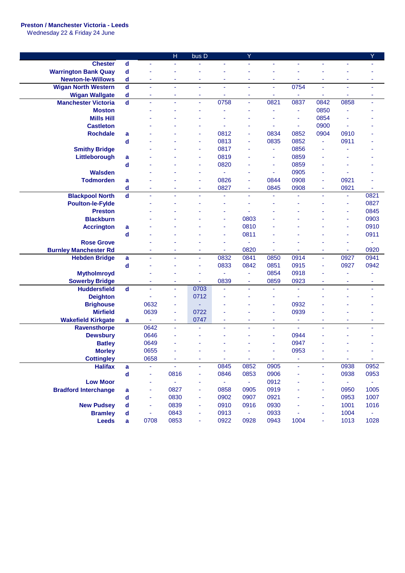## **Preston / Manchester Victoria - Leeds**

Wednesday 22 & Friday 24 June

|                              |                         |                | H                     | bus D               |                       | Ÿ              |        |                          |      |        | Ÿ              |
|------------------------------|-------------------------|----------------|-----------------------|---------------------|-----------------------|----------------|--------|--------------------------|------|--------|----------------|
| <b>Chester</b>               | $\mathbf d$             | $\blacksquare$ |                       |                     |                       | ä,             |        |                          |      |        |                |
| <b>Warrington Bank Quay</b>  | d                       |                |                       |                     |                       |                |        |                          |      |        |                |
| <b>Newton-le-Willows</b>     | d                       | ٠              | ×                     | ÷                   | ×                     | ٠              | ٠      | ۰                        | ۰    | ٠      | ٠              |
| <b>Wigan North Western</b>   | $\mathbf d$             | $\blacksquare$ | $\tilde{\phantom{a}}$ | $\blacksquare$      | ÷                     | ÷              | ä,     | 0754                     | ÷    | ä,     | ÷              |
| <b>Wigan Wallgate</b>        | d                       | ä,             | ٠                     | ÷                   |                       | ä,             | ۰      |                          | ٠    |        | ٠              |
| <b>Manchester Victoria</b>   | $\overline{\mathbf{d}}$ | ä,             | ä,                    | $\bar{\phantom{a}}$ | 0758                  | ä,             | 0821   | 0837                     | 0842 | 0858   | ä,             |
| <b>Moston</b>                |                         |                |                       |                     |                       |                | ä,     | ÷                        | 0850 |        |                |
| <b>Mills Hill</b>            |                         |                |                       |                     |                       |                |        | ä,                       | 0854 |        |                |
| <b>Castleton</b>             |                         |                |                       |                     |                       |                |        | $\overline{\phantom{a}}$ | 0900 | ä,     |                |
| <b>Rochdale</b>              | a                       |                |                       |                     | 0812                  | ä,             | 0834   | 0852                     | 0904 | 0910   |                |
|                              | d                       |                |                       |                     | 0813                  |                | 0835   | 0852                     | ٠    | 0911   |                |
| <b>Smithy Bridge</b>         |                         |                |                       | ä,                  | 0817                  |                | ٠      | 0856                     | ÷    |        |                |
| Littleborough                | a                       |                |                       | ÷                   | 0819                  |                | ٠      | 0859                     |      |        |                |
|                              | d                       |                |                       | ÷                   | 0820                  |                | ÷      | 0859                     |      |        |                |
| <b>Walsden</b>               |                         |                |                       | ٠                   |                       | ۰              | ÷      | 0905                     | ٠    |        |                |
| <b>Todmorden</b>             | a                       |                |                       |                     | 0826                  | ä,             | 0844   | 0908                     | ä,   | 0921   |                |
|                              | d                       |                | ٠                     | $\blacksquare$      | 0827                  | ٠              | 0845   | 0908                     | ٠    | 0921   | ÷              |
| <b>Blackpool North</b>       | $\mathbf d$             |                |                       |                     | ä,                    |                | ä,     | ä,                       | ä,   | ä,     | 0821           |
| <b>Poulton-le-Fylde</b>      |                         |                |                       |                     |                       |                |        |                          |      | ä,     | 0827           |
| <b>Preston</b>               |                         |                |                       |                     |                       |                |        |                          |      | ä,     | 0845           |
| <b>Blackburn</b>             |                         |                |                       |                     |                       | 0803           |        |                          |      | ä,     | 0903           |
| <b>Accrington</b>            | a                       |                |                       |                     | ä,                    | 0810           |        |                          |      | ä,     | 0910           |
|                              | d                       |                |                       |                     | ٠                     | 0811           |        |                          |      | ä,     | 0911           |
| <b>Rose Grove</b>            |                         |                |                       |                     | ÷                     | ä,             |        |                          |      | ä,     | ÷              |
| <b>Burnley Manchester Rd</b> |                         |                |                       | ٠                   | ٠                     | 0820           |        |                          | ٠    | ٠      | 0920           |
| <b>Hebden Bridge</b>         | a                       | ä,             | ÷,                    | ä,                  | 0832                  | 0841           | 0850   | 0914                     | Ξ    | 0927   | 0941           |
|                              | d                       |                |                       | ÷                   | 0833                  | 0842           | 0851   | 0915                     | ٠    | 0927   | 0942           |
| <b>Mytholmroyd</b>           |                         |                |                       | ä,                  |                       | $\blacksquare$ | 0854   | 0918                     | ä,   | ä,     |                |
| <b>Sowerby Bridge</b>        |                         | ä,             | ÷                     | ä,                  | 0839                  | ÷              | 0859   | 0923                     | ٠    | ÷      | ٠              |
| <b>Huddersfield</b>          | $\overline{\mathbf{d}}$ | $\blacksquare$ | $\blacksquare$        | 0703                | ä,                    | ä,             | ä,     | ä,                       | ä,   | ٠      | ٠              |
| <b>Deighton</b>              |                         | ä,             | ä,                    | 0712                |                       |                | ä,     | ä,                       |      |        |                |
| <b>Brighouse</b>             |                         | 0632           | ÷                     | ÷                   |                       |                | ä,     | 0932                     |      |        |                |
| <b>Mirfield</b>              |                         | 0639           | ÷                     | 0722                | ٠                     |                | ۰      | 0939                     |      |        |                |
| <b>Wakefield Kirkgate</b>    | a                       | ÷              | ٠                     | 0747                | ٠                     | ٠              | ٠      | ÷                        | ۰    | ٠      | ۰              |
| Ravensthorpe                 |                         | 0642           | ÷,                    |                     | $\tilde{\phantom{a}}$ | ä              | ٠      | $\sim$                   | ٠    | ٠      | ٠              |
| <b>Dewsbury</b>              |                         | 0646           |                       |                     |                       |                | ä,     | 0944                     |      |        |                |
| <b>Batley</b>                |                         | 0649           |                       |                     |                       |                |        | 0947                     |      |        |                |
| <b>Morley</b>                |                         | 0655           |                       |                     |                       |                |        | 0953                     |      |        |                |
| <b>Cottingley</b>            |                         | 0658           | ٠                     | ٠                   | ÷.                    | $\omega$       | $\sim$ | ٠                        | ٠    | $\sim$ | $\blacksquare$ |
| <b>Halifax</b>               | a                       |                | ÷.                    | ÷                   | 0845                  | 0852           | 0905   | ä,                       | ٠    | 0938   | 0952           |
|                              | $\mathbf d$             | ä,             | 0816                  | ÷                   | 0846                  | 0853           | 0906   | ä,                       | ٠    | 0938   | 0953           |
| <b>Low Moor</b>              |                         | ä,             | $\omega_{\rm c}$      | ÷                   | $\sim$                | $\sim 10^{-1}$ | 0912   |                          | ۰    | $\sim$ | $\sim$         |
| <b>Bradford Interchange</b>  | a                       | ÷              | 0827                  | ٠                   | 0858                  | 0905           | 0919   |                          | ٠    | 0950   | 1005           |
|                              | d                       | ÷              | 0830                  | ٠                   | 0902                  | 0907           | 0921   |                          | ٠    | 0953   | 1007           |
| <b>New Pudsey</b>            | d                       |                | 0839                  | ÷                   | 0910                  | 0916           | 0930   |                          | ۰    | 1001   | 1016           |
| <b>Bramley</b>               | d                       |                | 0843                  | ÷                   | 0913                  | $\omega$       | 0933   |                          | ۰    | 1004   | $\omega$       |
| <b>Leeds</b>                 | a                       | 0708           | 0853                  | ÷                   | 0922                  | 0928           | 0943   | 1004                     | ٠    | 1013   | 1028           |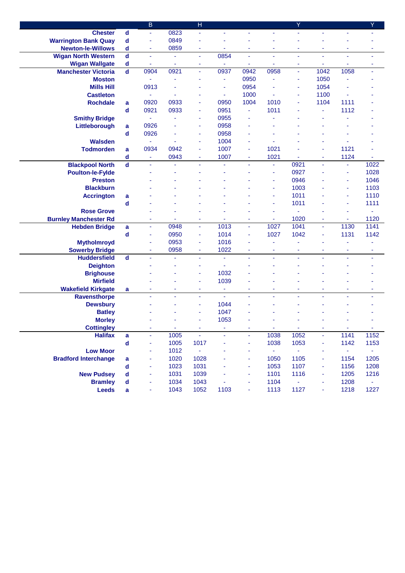|                              |                             | $\overline{B}$ |      | $\overline{\mathsf{H}}$ |      |                          |                     | Ÿ        |                |                  | Y              |
|------------------------------|-----------------------------|----------------|------|-------------------------|------|--------------------------|---------------------|----------|----------------|------------------|----------------|
| <b>Chester</b>               | $\mathsf{d}$                | ä,             | 0823 | ä,                      | ä,   | $\blacksquare$           | ä,                  | ÷.       | ä,             | ٠                |                |
| <b>Warrington Bank Quay</b>  | $\mathbf d$                 | ä,             | 0849 | ä,                      |      |                          |                     |          |                |                  |                |
| <b>Newton-le-Willows</b>     | d                           | ÷,             | 0859 | ÷                       | ä,   | ÷                        | ä,                  | ä,       | ÷              | ÷                | ٠              |
| <b>Wigan North Western</b>   | $\mathbf d$                 | ä,             | ä,   | ä,                      | 0854 | ä,                       | ä,                  | ä,       | L,             | ä,               | ä,             |
| <b>Wigan Wallgate</b>        | $\operatorname{\mathsf{d}}$ | ÷              | ٠    | ٠                       |      | ٠                        | ۰                   | ٠        | ٠              | ٠                | ٠              |
| <b>Manchester Victoria</b>   | $\overline{\mathbf{d}}$     | 0904           | 0921 | ä,                      | 0937 | 0942                     | 0958                | ÷        | 1042           | 1058             | ÷              |
| <b>Moston</b>                |                             |                |      |                         | ÷    | 0950                     |                     | ÷        | 1050           |                  |                |
| <b>Mills Hill</b>            |                             | 0913           |      |                         | ä,   | 0954                     |                     | ä,       | 1054           |                  |                |
| <b>Castleton</b>             |                             | ä,             |      |                         | ٠    | 1000                     | ä,                  | ÷        | 1100           | ä,               |                |
| <b>Rochdale</b>              | a                           | 0920           | 0933 | ä,                      | 0950 | 1004                     | 1010                | ä,       | 1104           | 1111             |                |
|                              | d                           | 0921           | 0933 | ÷                       | 0951 | $\blacksquare$           | 1011                |          | ä,             | 1112             |                |
| <b>Smithy Bridge</b>         |                             | ä,             |      | ÷                       | 0955 | ä,                       |                     |          |                |                  |                |
| Littleborough                | a                           | 0926           |      | ÷                       | 0958 |                          |                     |          |                |                  |                |
|                              | d                           | 0926           |      | ٠                       | 0958 | ٠                        |                     |          |                |                  |                |
| <b>Walsden</b>               |                             | ä,             |      | ÷                       | 1004 | ä,                       |                     |          |                |                  |                |
| <b>Todmorden</b>             | a                           | 0934           | 0942 | ä,                      | 1007 | ÷                        | 1021                |          | Ĭ,             | 1121             |                |
|                              | d                           | ä,             | 0943 | ÷                       | 1007 | ×,                       | 1021                |          | ÷              | 1124             |                |
| <b>Blackpool North</b>       | $\overline{\mathbf{d}}$     |                |      |                         | ÷    |                          | ٠                   | 0921     | $\blacksquare$ | ä,               | 1022           |
| <b>Poulton-le-Fylde</b>      |                             |                |      |                         |      |                          | $\blacksquare$      | 0927     |                | ä,               | 1028           |
| <b>Preston</b>               |                             |                |      |                         |      |                          | ÷                   | 0946     |                | ä,               | 1046           |
| <b>Blackburn</b>             |                             |                |      |                         |      |                          |                     | 1003     |                | ä,               | 1103           |
| <b>Accrington</b>            | a                           |                |      |                         |      |                          |                     | 1011     |                | ÷                | 1110           |
|                              | d                           |                |      |                         |      |                          | ٠                   | 1011     |                | ÷                | 1111           |
| <b>Rose Grove</b>            |                             |                |      |                         |      |                          | ä,                  | ÷        |                | ٠                | ٠              |
| <b>Burnley Manchester Rd</b> |                             | ٠              | ٠    | ٠                       |      | ٠                        | ٠                   | 1020     | ٠              | ٠                | 1120           |
| <b>Hebden Bridge</b>         | a                           | ÷              | 0948 | ÷,                      | 1013 | ÷                        | 1027                | 1041     | ٠              | 1130             | 1141           |
|                              | d                           | ä,             | 0950 | ÷                       | 1014 | ä,                       | 1027                | 1042     | ÷              | 1131             | 1142           |
| <b>Mytholmroyd</b>           |                             |                | 0953 | ÷                       | 1016 |                          |                     |          |                |                  |                |
| <b>Sowerby Bridge</b>        |                             | ٠              | 0958 | ÷                       | 1022 | $\overline{\phantom{a}}$ | ٠                   | ٠        | ٠              | ٠                | ٠              |
| <b>Huddersfield</b>          | $\overline{\mathbf{d}}$     |                | L,   | ä,                      | ä,   | ä,                       | ä,                  | ä,       | ä,             | L,               | ä,             |
| <b>Deighton</b>              |                             |                |      | ÷                       | ä,   |                          |                     |          |                |                  |                |
| <b>Brighouse</b>             |                             |                |      |                         | 1032 |                          |                     |          |                |                  |                |
| <b>Mirfield</b>              |                             |                |      | ÷                       | 1039 |                          |                     |          |                |                  |                |
| <b>Wakefield Kirkgate</b>    | a                           | ٠              | ٠    | ٠                       | ÷    | ٠                        | ٠                   | ۰        | ٠              | ٠                | ٠              |
| Ravensthorpe                 |                             |                |      | ÷,                      | ä,   | ä,                       | ä,                  | ä,       | ä,             | ä,               | ٠              |
| <b>Dewsbury</b>              |                             |                |      | ä,                      | 1044 |                          |                     |          |                |                  |                |
| <b>Batley</b>                |                             |                |      |                         | 1047 |                          |                     |          |                |                  |                |
| <b>Morley</b>                |                             |                |      |                         | 1053 |                          |                     |          |                |                  |                |
| <b>Cottingley</b>            |                             |                | ж.   | ٠                       |      | ٠                        | and the             | ж.       | ۰              | $\sim$           | ۰.             |
| <b>Halifax</b>               | $\mathbf a$                 |                | 1005 | ä,                      |      | ÷                        | 1038                | 1052     | ÷              | 1141             | 1152           |
|                              | $\operatorname{\mathsf{d}}$ | ÷              | 1005 | 1017                    |      | ×,                       | 1038                | 1053     | ٠              | 1142             | 1153           |
| <b>Low Moor</b>              |                             | ÷              | 1012 | $\omega_{\rm c}$        |      | ×,                       | $\omega_{\rm{eff}}$ | $\omega$ | ÷              | $\omega_{\rm c}$ | $\blacksquare$ |
| <b>Bradford Interchange</b>  | a                           |                | 1020 | 1028                    |      | ×,                       | 1050                | 1105     | ۰              | 1154             | 1205           |
|                              | d                           | ٠              | 1023 | 1031                    |      | $\overline{\phantom{a}}$ | 1053                | 1107     | ۰              | 1156             | 1208           |
| <b>New Pudsey</b>            | d                           | ٠              | 1031 | 1039                    |      | $\overline{\phantom{a}}$ | 1101                | 1116     | ٠              | 1205             | 1216           |
| <b>Bramley</b>               | d                           |                | 1034 | 1043                    |      | ×,                       | 1104                | ÷        | ۰              | 1208             | ٠              |
| <b>Leeds</b>                 | a                           |                | 1043 | 1052                    | 1103 |                          | 1113                | 1127     | ÷              | 1218             | 1227           |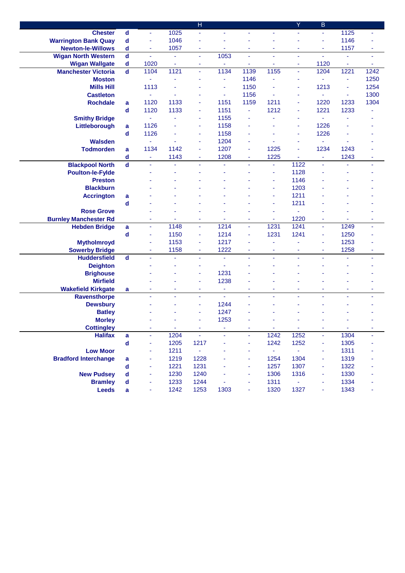|                              |                             |                |      | H      |                |      |                     | Ÿ              | B                        |                |                |
|------------------------------|-----------------------------|----------------|------|--------|----------------|------|---------------------|----------------|--------------------------|----------------|----------------|
| <b>Chester</b>               | $\operatorname{\mathsf{d}}$ | $\blacksquare$ | 1025 | ä,     |                | ÷.   |                     | ä,             | ä,                       | 1125           | ä,             |
| <b>Warrington Bank Quay</b>  | $\operatorname{\mathsf{d}}$ | ä,             | 1046 | ä,     |                |      |                     |                | ÷                        | 1146           |                |
| <b>Newton-le-Willows</b>     | d                           | ÷              | 1057 | ٠      | ٠              | ٠    | ÷                   | ÷              | ÷                        | 1157           | ٠              |
| <b>Wigan North Western</b>   | $\mathbf d$                 | ä,             | ä,   | ä,     | 1053           | ä,   | $\blacksquare$      | ä,             | ä,                       | ä,             | $\blacksquare$ |
| <b>Wigan Wallgate</b>        | $\operatorname{\mathsf{d}}$ | 1020           | ٠    | ٠      |                | ۰    | ÷                   | ٠              | 1120                     | ÷              | ٠              |
| <b>Manchester Victoria</b>   | $\overline{\mathbf{d}}$     | 1104           | 1121 | ä,     | 1134           | 1139 | 1155                | ÷              | 1204                     | 1221           | 1242           |
| <b>Moston</b>                |                             | ×,             |      |        | ÷              | 1146 |                     | ä,             | ×,                       | ä,             | 1250           |
| <b>Mills Hill</b>            |                             | 1113           |      |        | ÷              | 1150 |                     | ä,             | 1213                     | ä,             | 1254           |
| <b>Castleton</b>             |                             | $\blacksquare$ |      |        | ä,             | 1156 |                     | $\blacksquare$ | $\blacksquare$           | $\blacksquare$ | 1300           |
| <b>Rochdale</b>              | a                           | 1120           | 1133 | ä,     | 1151           | 1159 | 1211                | ä,             | 1220                     | 1233           | 1304           |
|                              | $\mathbf d$                 | 1120           | 1133 | ä,     | 1151           | ä,   | 1212                | ä,             | 1221                     | 1233           |                |
| <b>Smithy Bridge</b>         |                             | ä,             |      | ä,     | 1155           | ä,   |                     | ä,             | ä,                       | ä,             |                |
| Littleborough                | a                           | 1126           |      | ÷      | 1158           |      |                     | ٠              | 1226                     |                |                |
|                              | $\operatorname{\mathsf{d}}$ | 1126           |      | ÷      | 1158           |      |                     | ٠              | 1226                     |                |                |
| <b>Walsden</b>               |                             |                |      | ÷      | 1204           | ä,   |                     | ÷              | ä,                       |                |                |
| <b>Todmorden</b>             | a                           | 1134           | 1142 | ä,     | 1207           | ä,   | 1225                | ä,             | 1234                     | 1243           |                |
|                              | d                           | $\blacksquare$ | 1143 | ÷,     | 1208           | ÷    | 1225                | ä,             | ÷                        | 1243           |                |
| <b>Blackpool North</b>       | $\overline{\mathbf{d}}$     |                |      |        |                |      | ٠                   | 1122           | $\blacksquare$           |                | ÷              |
| <b>Poulton-le-Fylde</b>      |                             |                |      |        |                |      | $\blacksquare$      | 1128           |                          |                |                |
| <b>Preston</b>               |                             |                |      |        |                |      |                     | 1146           |                          |                |                |
| <b>Blackburn</b>             |                             |                |      |        |                |      | $\blacksquare$      | 1203           |                          |                |                |
| <b>Accrington</b>            | a                           |                |      |        |                |      |                     | 1211           |                          |                |                |
|                              | d                           |                |      |        |                |      | ÷                   | 1211           |                          |                |                |
| <b>Rose Grove</b>            |                             |                |      |        |                |      | ٠                   | ä,             |                          |                |                |
| <b>Burnley Manchester Rd</b> |                             | ۰              |      | ٠      |                | ٠    | ٠                   | 1220           | ٠                        | ٠              | ٠              |
| <b>Hebden Bridge</b>         | a                           | ä,             | 1148 | ٠      | 1214           | ä,   | 1231                | 1241           | ÷                        | 1249           | ä,             |
|                              | d                           | ä,             | 1150 | ٠      | 1214           | ä,   | 1231                | 1241           | ÷                        | 1250           |                |
| <b>Mytholmroyd</b>           |                             |                | 1153 | ä,     | 1217           |      |                     |                | ÷                        | 1253           |                |
| <b>Sowerby Bridge</b>        |                             | ۰              | 1158 | ٠      | 1222           | ٠    | ٠                   | ÷              | $\overline{\phantom{a}}$ | 1258           | ٠              |
| <b>Huddersfield</b>          | $\overline{\mathbf{d}}$     |                | ä,   | ä,     | ä,             | ä,   | ä,                  | ä,             | ä,                       | ä,             | ä,             |
| <b>Deighton</b>              |                             |                |      | ÷      | ä,             |      |                     |                |                          |                |                |
| <b>Brighouse</b>             |                             |                |      | ÷      | 1231           |      |                     |                |                          |                |                |
| <b>Mirfield</b>              |                             |                |      | ÷      | 1238           |      |                     |                |                          |                |                |
| <b>Wakefield Kirkgate</b>    | a                           | ۰              | ٠    | ٠      | $\blacksquare$ | ٠    | ٠                   | ٠              | ٠                        | ٠              | ٠              |
| <b>Ravensthorpe</b>          |                             | ä,             | ä,   | ä,     | ä,             | ÷.   | ä,                  | ä,             | L,                       | ä,             | ä,             |
| <b>Dewsbury</b>              |                             |                |      | ÷      | 1244           |      |                     |                |                          |                |                |
| <b>Batley</b>                |                             |                |      |        | 1247           |      |                     |                |                          |                |                |
| <b>Morley</b>                |                             |                |      |        | 1253           |      |                     |                |                          |                |                |
| <b>Cottingley</b>            |                             |                | ۰    | ٠      |                |      | ۰.                  | ж.             | ۰                        | ж.             | ۰              |
| <b>Halifax</b>               | $\mathbf a$                 |                | 1204 | ÷,     |                |      | 1242                | 1252           | ÷,                       | 1304           |                |
|                              | $\operatorname{\mathsf{d}}$ | ä,             | 1205 | 1217   |                | Ξ    | 1242                | 1252           | ÷                        | 1305           |                |
| <b>Low Moor</b>              |                             | ÷              | 1211 | $\sim$ |                | ÷    | $\omega_{\rm{eff}}$ | $\omega$       | ÷                        | 1311           |                |
| <b>Bradford Interchange</b>  | a                           | ä,             | 1219 | 1228   |                | ٠    | 1254                | 1304           | ÷                        | 1319           |                |
|                              | d                           | ä,             | 1221 | 1231   |                | ٠    | 1257                | 1307           | ٠                        | 1322           |                |
| <b>New Pudsey</b>            | d                           | ۰              | 1230 | 1240   |                | ÷    | 1306                | 1316           | ÷                        | 1330           |                |
| <b>Bramley</b>               | d                           |                | 1233 | 1244   |                |      | 1311                | $\blacksquare$ | ۰                        | 1334           |                |
| <b>Leeds</b>                 | a                           |                | 1242 | 1253   | 1303           |      | 1320                | 1327           | ÷                        | 1343           |                |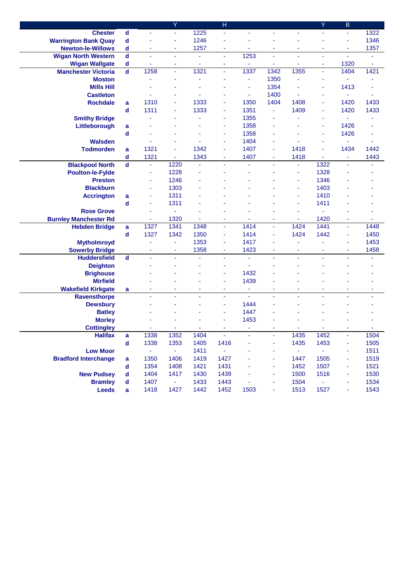|                              |                   |          | Y              |                | н    |                |      |          | Y    | В              |      |
|------------------------------|-------------------|----------|----------------|----------------|------|----------------|------|----------|------|----------------|------|
| <b>Chester</b>               | d                 | Ξ        | ÷,             | 1225           | ä,   | ÷              | ä,   | ä,       | ä,   | ÷.             | 1322 |
| <b>Warrington Bank Quay</b>  | d                 |          | ÷              | 1246           |      |                |      |          |      | ä,             | 1346 |
| <b>Newton-le-Willows</b>     | d                 | ٠        | ۰              | 1257           | ۰    |                | ۰    | ٠        | ٠    | ×,             | 1357 |
| <b>Wigan North Western</b>   | $\mathbf d$       | ÷,       | ä,             | $\blacksquare$ | ä,   | 1253           | ä,   | ä,       | ä,   | ä,             | ä,   |
| <b>Wigan Wallgate</b>        | d                 |          | ÷              | ä,             | ÷    | ÷              | ä,   | ÷        | ٠    | 1320           | ÷    |
| <b>Manchester Victoria</b>   | $\mathbf d$       | 1258     | ä,             | 1321           | ä,   | 1337           | 1342 | 1355     | ä,   | 1404           | 1421 |
| <b>Moston</b>                |                   |          |                | ä,             |      | ÷              | 1350 | ä,       | ÷    | ä,             |      |
| <b>Mills Hill</b>            |                   |          |                |                |      | ä,             | 1354 |          | ٠    | 1413           |      |
| <b>Castleton</b>             |                   |          |                |                |      | ÷              | 1400 | ä,       |      | ä,             | ÷    |
| <b>Rochdale</b>              | a                 | 1310     |                | 1333           |      | 1350           | 1404 | 1408     | ÷    | 1420           | 1433 |
|                              | d                 | 1311     |                | 1333           |      | 1351           | ÷    | 1409     | ٠    | 1420           | 1433 |
| <b>Smithy Bridge</b>         |                   |          |                |                |      | 1355           |      |          | ٠    | ä,             |      |
| Littleborough                | a                 |          |                |                |      | 1358           |      |          | ٠    | 1426           |      |
|                              | d                 |          |                |                |      | 1358           |      |          |      | 1426           |      |
| <b>Walsden</b>               |                   |          |                |                |      | 1404           |      |          | ٠    | ä,             |      |
| <b>Todmorden</b>             | a                 | 1321     | ٠              | 1342           | ٠    | 1407           | ÷    | 1418     | ä,   | 1434           | 1442 |
|                              | d                 | 1321     | ÷              | 1343           | ÷    | 1407           | ٠    | 1418     | ä,   | Ξ              | 1443 |
| <b>Blackpool North</b>       | $\mathbf d$       | ä,       | 1220           | ä,             | ä,   | $\blacksquare$ | ä,   | ä,       | 1322 | ä,             | ٠    |
| <b>Poulton-le-Fylde</b>      |                   | ä,       | 1228           |                |      |                |      | ä,       | 1328 |                |      |
| <b>Preston</b>               |                   | ٠        | 1246           |                |      |                |      | ÷        | 1346 |                |      |
| <b>Blackburn</b>             |                   | ٠        | 1303           |                |      |                |      | ÷        | 1403 |                |      |
| <b>Accrington</b>            | a                 | ٠        | 1311           |                |      |                |      | ÷        | 1410 |                |      |
| <b>Rose Grove</b>            | d                 | ۰        | 1311           |                |      |                |      | ÷        | 1411 |                |      |
| <b>Burnley Manchester Rd</b> |                   | ä,<br>ä, | 1320           | ÷.             | ٠    |                | ٠    | ÷,       | 1420 | $\sim$         |      |
| <b>Hebden Bridge</b>         |                   | 1327     | 1341           | 1348           | ä,   | 1414           | ä,   | 1424     | 1441 | ä,             | 1448 |
|                              | a<br>$\mathsf{d}$ | 1327     | 1342           | 1350           | ÷    | 1414           | ÷    | 1424     | 1442 | ä,             | 1450 |
| <b>Mytholmroyd</b>           |                   | ä,       | ÷              | 1353           | ä,   | 1417           |      | ä,       |      | ä,             | 1453 |
| <b>Sowerby Bridge</b>        |                   | ä        | ٠              | 1358           | ÷    | 1423           | ä,   | ä,       | ÷    | ä,             | 1458 |
| <b>Huddersfield</b>          | $\mathsf{d}$      | ä,       | ÷              | ä,             | ä,   | ä,             | ä,   | ä,       | ä,   | ä,             | ÷    |
| <b>Deighton</b>              |                   |          |                |                | ٠    | ä,             |      |          |      |                |      |
| <b>Brighouse</b>             |                   |          |                |                | ÷    | 1432           |      |          |      |                |      |
| <b>Mirfield</b>              |                   |          |                |                |      | 1439           |      |          |      |                |      |
| <b>Wakefield Kirkgate</b>    | a                 |          |                |                | ٠    | ÷              | ÷    |          |      |                |      |
| <b>Ravensthorpe</b>          |                   |          |                |                | ä,   | $\sim$         |      |          |      |                |      |
| <b>Dewsbury</b>              |                   |          |                |                | ٠    | 1444           |      |          |      |                |      |
| <b>Batley</b>                |                   |          |                |                |      | 1447           |      |          |      |                |      |
| <b>Morley</b>                |                   |          |                |                |      | 1453           |      |          |      |                |      |
| <b>Cottingley</b>            |                   |          |                |                |      |                |      |          |      |                |      |
| <b>Halifax</b>               | a                 | 1338     | 1352           | 1404           | ä,   | ä,             | ä,   | 1435     | 1452 | $\blacksquare$ | 1504 |
|                              | d                 | 1338     | 1353           | 1405           | 1416 |                | ٠    | 1435     | 1453 | ÷              | 1505 |
| <b>Low Moor</b>              |                   | ÷        | ÷              | 1411           | ÷,   |                | ٠    | $\omega$ | ä,   | ×              | 1511 |
| <b>Bradford Interchange</b>  | a                 | 1350     | 1406           | 1419           | 1427 |                | ٠    | 1447     | 1505 | ×              | 1519 |
|                              | d                 | 1354     | 1408           | 1421           | 1431 |                |      | 1452     | 1507 | ä,             | 1521 |
| <b>New Pudsey</b>            | d                 | 1404     | 1417           | 1430           | 1439 |                | ÷    | 1500     | 1516 | ×,             | 1530 |
| <b>Bramley</b>               | d                 | 1407     | $\blacksquare$ | 1433           | 1443 |                | ٠    | 1504     | ä,   |                | 1534 |
| <b>Leeds</b>                 | a                 | 1418     | 1427           | 1442           | 1452 | 1503           | ÷    | 1513     | 1527 | ×,             | 1543 |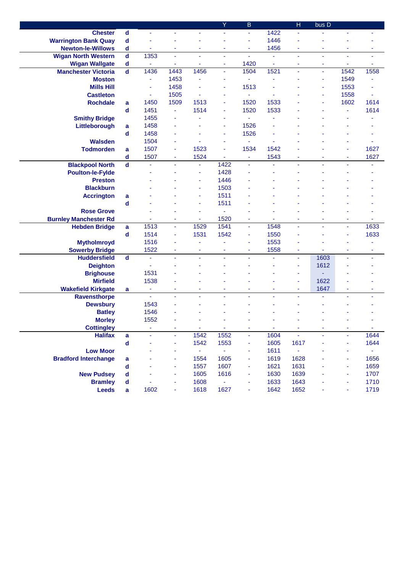|                              |                         |                |      |                | Ÿ      | B                     |      | $\mathsf{H}$   | bus D |                |                  |
|------------------------------|-------------------------|----------------|------|----------------|--------|-----------------------|------|----------------|-------|----------------|------------------|
| <b>Chester</b>               | d                       | ÷,             |      | ÷              | ÷      | ÷.                    | 1422 | ä,             |       | ä,             |                  |
| <b>Warrington Bank Quay</b>  | d                       |                |      |                |        | ÷                     | 1446 |                |       |                |                  |
| <b>Newton-le-Willows</b>     | d                       | ÷              | ٠    | ٠              | ٠      | ÷                     | 1456 | ÷              | ٠     | ×              | ٠                |
| <b>Wigan North Western</b>   | $\mathbf d$             | 1353           | ä,   | ä,             | ÷      | ä,                    | ÷    | ä,             | ä,    | ÷,             | ä,               |
| <b>Wigan Wallgate</b>        | d                       |                | ÷    |                | ۰      | 1420                  | ۰    | $\blacksquare$ | ٠     | ×,             |                  |
| <b>Manchester Victoria</b>   | $\overline{\mathbf{d}}$ | 1436           | 1443 | 1456           | ÷,     | 1504                  | 1521 | ä,             | ÷     | 1542           | 1558             |
| <b>Moston</b>                |                         | ÷              | 1453 | ä,             | ä,     | ä,                    |      |                | ÷     | 1549           | ä,               |
| <b>Mills Hill</b>            |                         | ä,             | 1458 |                |        | 1513                  |      |                | ä,    | 1553           |                  |
| <b>Castleton</b>             |                         | ä,             | 1505 | ä,             | ٠      | ä,                    |      |                | ä,    | 1558           | ä,               |
| <b>Rochdale</b>              | a                       | 1450           | 1509 | 1513           | ä,     | 1520                  | 1533 |                |       | 1602           | 1614             |
|                              | d                       | 1451           | ÷    | 1514           | ä,     | 1520                  | 1533 |                |       | ä,             | 1614             |
| <b>Smithy Bridge</b>         |                         | 1455           |      |                |        | ÷,                    |      |                |       |                |                  |
| Littleborough                | a                       | 1458           |      |                | ٠      | 1526                  |      |                |       |                |                  |
|                              | d                       | 1458           |      |                | ä,     | 1526                  |      |                |       |                |                  |
| <b>Walsden</b>               |                         | 1504           |      |                |        | ä,                    |      |                |       |                |                  |
| <b>Todmorden</b>             | a                       | 1507           | ÷    | 1523           | ä,     | 1534                  | 1542 |                |       |                | 1627             |
|                              | $\mathbf d$             | 1507           | ٠    | 1524           | ä,     | ä,                    | 1543 |                |       | ä,             | 1627             |
| <b>Blackpool North</b>       | $\mathbf d$             |                |      |                | 1422   |                       |      |                |       |                |                  |
| <b>Poulton-le-Fylde</b>      |                         |                |      | ä,             | 1428   |                       |      |                |       |                |                  |
| <b>Preston</b>               |                         |                |      | $\blacksquare$ | 1446   |                       |      |                |       |                |                  |
| <b>Blackburn</b>             |                         |                |      |                | 1503   |                       |      |                |       |                |                  |
| <b>Accrington</b>            | a                       |                |      |                | 1511   |                       |      |                |       |                |                  |
|                              | d                       |                |      | ÷              | 1511   |                       |      |                |       |                |                  |
| <b>Rose Grove</b>            |                         |                |      | ÷              |        |                       |      |                |       |                |                  |
| <b>Burnley Manchester Rd</b> |                         |                | ٠    |                | 1520   | ÷                     |      |                |       | ÷              |                  |
| <b>Hebden Bridge</b>         | a                       | 1513           | ÷    | 1529           | 1541   | ä,                    | 1548 | ä,             | ä,    | $\blacksquare$ | 1633             |
|                              | d                       | 1514           | ä,   | 1531           | 1542   | ÷                     | 1550 |                |       |                | 1633             |
| <b>Mytholmroyd</b>           |                         | 1516           |      |                |        | $\tilde{\phantom{a}}$ | 1553 |                |       |                |                  |
| <b>Sowerby Bridge</b>        |                         | 1522           | ٠    | ٠              | ٠      | ٠                     | 1558 | ٠              |       | ÷              | ٠                |
| <b>Huddersfield</b>          | $\mathbf d$             | ä,             | ä,   | ä,             | ä,     | ÷,                    | ä,   | ÷.             | 1603  | ä,             | ٠                |
| <b>Deighton</b>              |                         | ä,             |      |                |        |                       |      | ä,             | 1612  |                |                  |
| <b>Brighouse</b>             |                         | 1531           |      |                |        |                       |      | ÷              |       |                |                  |
| <b>Mirfield</b>              |                         | 1538           |      |                |        |                       |      | ÷              | 1622  |                |                  |
| <b>Wakefield Kirkgate</b>    | a                       | ٠              | ٠    | ۰              | ۰      | ۰                     | ۰    | ٠              | 1647  | ٠              | ÷                |
| Ravensthorpe                 |                         | $\blacksquare$ |      |                |        |                       |      |                |       |                |                  |
| <b>Dewsbury</b>              |                         | 1543           |      |                |        |                       |      |                |       |                |                  |
| <b>Batley</b>                |                         | 1546           |      |                |        |                       |      |                |       |                |                  |
| <b>Morley</b>                |                         | 1552           |      |                |        |                       |      |                |       |                |                  |
| <b>Cottingley</b>            |                         |                |      |                |        |                       |      |                |       |                |                  |
| <b>Halifax</b>               | a                       |                |      | 1542           | 1552   | ٠                     | 1604 | ä,             |       | ÷              | 1644             |
|                              | $\mathbf d$             |                |      | 1542           | 1553   | $\blacksquare$        | 1605 | 1617           |       | ×,             | 1644             |
| <b>Low Moor</b>              |                         |                |      | ÷              | $\Box$ | ٠                     | 1611 | $\blacksquare$ |       | ÷              | $\omega_{\rm c}$ |
| <b>Bradford Interchange</b>  | a                       |                |      | 1554           | 1605   | ٠                     | 1619 | 1628           |       | ٠              | 1656             |
|                              | d                       |                | ٠    | 1557           | 1607   | ٠                     | 1621 | 1631           |       | ÷              | 1659             |
| <b>New Pudsey</b>            | d                       |                |      | 1605           | 1616   | ÷                     | 1630 | 1639           |       | ä,             | 1707             |
| <b>Bramley</b>               | d                       |                |      | 1608           |        |                       | 1633 | 1643           |       |                | 1710             |
| <b>Leeds</b>                 | a                       | 1602           | ۰    | 1618           | 1627   |                       | 1642 | 1652           |       |                | 1719             |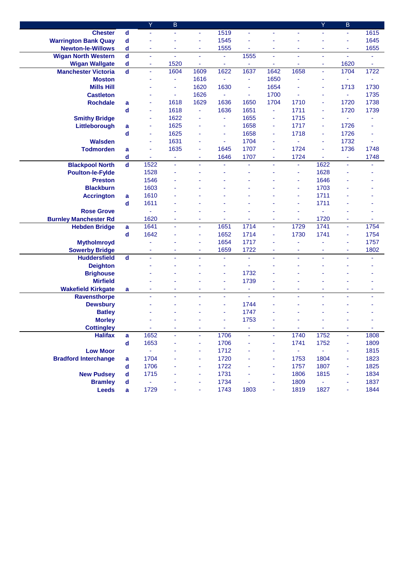|                              |                             | Y    | B    |                |      |                |      |                | Y    | B                        |      |
|------------------------------|-----------------------------|------|------|----------------|------|----------------|------|----------------|------|--------------------------|------|
| <b>Chester</b>               | $\operatorname{\mathsf{d}}$ | ä,   | ÷    | ÷              | 1519 | ٠              |      | Ξ              | ÷    | ÷.                       | 1615 |
| <b>Warrington Bank Quay</b>  | d                           | ä,   |      | ÷              | 1545 | ÷,             |      | ÷              | ä,   | ä,                       | 1645 |
| <b>Newton-le-Willows</b>     | d                           | ۰    | ٠    | ٠              | 1555 | ÷              | ٠    | ÷              | ٠    | $\overline{\phantom{a}}$ | 1655 |
| <b>Wigan North Western</b>   | $\operatorname{\mathsf{d}}$ | ä,   | ä,   | ä,             | ä,   | 1555           | ÷    | ä,             | ä,   | ÷                        |      |
| <b>Wigan Wallgate</b>        | d                           | ۰    | 1520 | ä,             | ٠    |                | ٠    |                | ٠    | 1620                     | ÷    |
| <b>Manchester Victoria</b>   | $\overline{\mathbf{d}}$     | ä,   | 1604 | 1609           | 1622 | 1637           | 1642 | 1658           | ä,   | 1704                     | 1722 |
| <b>Moston</b>                |                             |      | ÷    | 1616           | ÷    | ä,             | 1650 | ä,             | ä,   | ÷                        | ÷    |
| <b>Mills Hill</b>            |                             |      | ä,   | 1620           | 1630 | ä,             | 1654 | ä,             | ÷    | 1713                     | 1730 |
| <b>Castleton</b>             |                             |      | ä,   | 1626           | ä,   | ÷              | 1700 | $\blacksquare$ | ÷    | $\omega$                 | 1735 |
| <b>Rochdale</b>              | a                           | ٠    | 1618 | 1629           | 1636 | 1650           | 1704 | 1710           | ÷    | 1720                     | 1738 |
|                              | d                           | ÷    | 1618 | $\blacksquare$ | 1636 | 1651           | ÷    | 1711           | ٠    | 1720                     | 1739 |
| <b>Smithy Bridge</b>         |                             | ٠    | 1622 | ÷              | ä,   | 1655           | ٠    | 1715           | ÷    | ä,                       |      |
| Littleborough                | a                           | ٠    | 1625 | ٠              | ÷    | 1658           | ٠    | 1717           | ÷    | 1726                     |      |
|                              | d                           | ٠    | 1625 |                | ÷    | 1658           | ٠    | 1718           | ÷    | 1726                     |      |
| <b>Walsden</b>               |                             | ÷    | 1631 | ÷              | ÷    | 1704           | ٠    | ä,             | ÷    | 1732                     |      |
| <b>Todmorden</b>             | a                           | ÷    | 1635 | ä,             | 1645 | 1707           | ٠    | 1724           | ä,   | 1736                     | 1748 |
|                              | d                           |      | ٠    |                | 1646 | 1707           | ٠    | 1724           | ä,   | ä,                       | 1748 |
| <b>Blackpool North</b>       | $\mathsf{d}$                | 1522 |      |                |      |                |      | ä,             | 1622 |                          |      |
| <b>Poulton-le-Fylde</b>      |                             | 1528 |      |                |      |                |      | ä,             | 1628 |                          |      |
| <b>Preston</b>               |                             | 1546 |      |                |      |                |      | ÷              | 1646 |                          |      |
| <b>Blackburn</b>             |                             | 1603 |      |                |      |                |      |                | 1703 |                          |      |
| <b>Accrington</b>            | a                           | 1610 |      |                |      |                |      | ÷              | 1711 |                          |      |
|                              | d                           | 1611 |      |                |      |                |      | ÷              | 1711 |                          |      |
| <b>Rose Grove</b>            |                             |      |      |                |      |                |      | ÷              |      |                          |      |
| <b>Burnley Manchester Rd</b> |                             | 1620 |      | ٠              |      |                | ٠    | ÷              | 1720 | ×,                       |      |
| <b>Hebden Bridge</b>         | a                           | 1641 |      | ä,             | 1651 | 1714           | ä,   | 1729           | 1741 | $\blacksquare$           | 1754 |
|                              | d                           | 1642 |      | ÷              | 1652 | 1714           | ÷    | 1730           | 1741 | ä,                       | 1754 |
| <b>Mytholmroyd</b>           |                             |      |      |                | 1654 | 1717           |      |                |      | ٠                        | 1757 |
| <b>Sowerby Bridge</b>        |                             | ٠    | ٠    | ÷              | 1659 | 1722           | ٠    | ٠              | ٠    | ÷                        | 1802 |
| <b>Huddersfield</b>          | $\mathbf d$                 | ä,   | ä,   | ÷.             | ٠    | ä,             | ä,   | ä,             | ä,   | ÷.                       | ٠    |
| <b>Deighton</b>              |                             |      |      |                |      | ä,             |      |                |      |                          |      |
| <b>Brighouse</b>             |                             |      |      |                |      | 1732           |      |                |      |                          |      |
| <b>Mirfield</b>              |                             |      |      |                | ٠    | 1739           |      |                |      |                          |      |
| <b>Wakefield Kirkgate</b>    | a                           | ۰    | ٠    | ٠              | ٠    | ٠              | ٠    | ٠              | ٠    | ×                        | ٠    |
| Ravensthorpe                 |                             | ä,   |      | ٠              | ÷    | $\blacksquare$ |      |                |      | ÷,                       |      |
| <b>Dewsbury</b>              |                             |      |      |                |      | 1744           |      |                |      |                          |      |
| <b>Batley</b>                |                             |      |      |                |      | 1747           |      |                |      |                          |      |
| <b>Morley</b>                |                             |      |      |                |      | 1753           |      |                |      |                          |      |
| <b>Cottingley</b>            |                             |      |      |                |      |                |      |                |      |                          |      |
| <b>Halifax</b>               | a                           | 1652 |      |                | 1706 |                |      | 1740           | 1752 | ٠                        | 1808 |
|                              | d                           | 1653 |      | ۰              | 1706 |                | ٠    | 1741           | 1752 | $\blacksquare$           | 1809 |
| <b>Low Moor</b>              |                             | ÷,   |      |                | 1712 |                |      | $\omega$       | ÷,   | ä,                       | 1815 |
| <b>Bradford Interchange</b>  | a                           | 1704 |      |                | 1720 |                |      | 1753           | 1804 | ٠                        | 1823 |
|                              | d                           | 1706 |      |                | 1722 |                | ٠    | 1757           | 1807 | ÷                        | 1825 |
| <b>New Pudsey</b>            | d                           | 1715 |      |                | 1731 |                | ä,   | 1806           | 1815 |                          | 1834 |
| <b>Bramley</b>               | d                           |      |      |                | 1734 |                |      | 1809           |      |                          | 1837 |
| <b>Leeds</b>                 | a                           | 1729 |      |                | 1743 | 1803           | ۰    | 1819           | 1827 |                          | 1844 |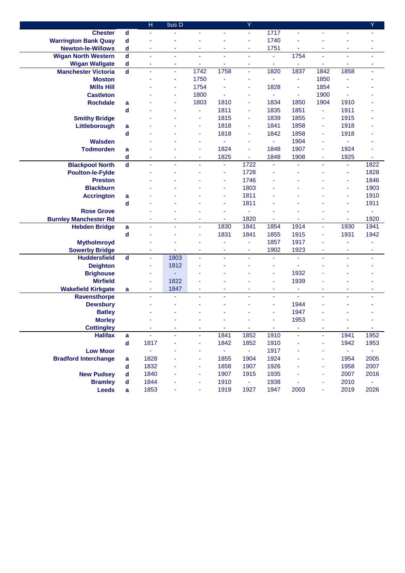|                              |                             | $\overline{\mathsf{H}}$  | bus D |                          |                          | Y                     |                |                |                |                  | Υ             |
|------------------------------|-----------------------------|--------------------------|-------|--------------------------|--------------------------|-----------------------|----------------|----------------|----------------|------------------|---------------|
| <b>Chester</b>               | $\operatorname{\mathsf{d}}$ | $\blacksquare$           | ä,    | ÷                        |                          | $\omega$              | 1717           | ٠              | ÷              | ÷                |               |
| <b>Warrington Bank Quay</b>  | $\mathbf d$                 |                          |       |                          |                          | ä,                    | 1740           |                |                |                  |               |
| <b>Newton-le-Willows</b>     | $\mathbf d$                 | ×,                       | ä,    | ÷                        | ÷                        | ä,                    | 1751           | ä,             | ä,             | ä,               | ٠             |
| <b>Wigan North Western</b>   | $\operatorname{\mathsf{d}}$ | ä,                       | ÷     | $\tilde{\phantom{a}}$    | ä,                       | ä,                    | ۰              | 1754           | ä,             | ä,               | ٠             |
| <b>Wigan Wallgate</b>        | $\mathbf d$                 | ÷                        | ÷     | ÷                        | ÷                        | ٠                     | ٠              | $\blacksquare$ | ۰              | ٠                | ۰             |
| <b>Manchester Victoria</b>   | $\mathbf d$                 | ×,                       | ÷     | 1742                     | 1758                     | $\blacksquare$        | 1820           | 1837           | 1842           | 1858             | ٠             |
| <b>Moston</b>                |                             |                          | ٠     | 1750                     | ÷                        | ä,                    |                | ÷              | 1850           | ä,               |               |
| <b>Mills Hill</b>            |                             |                          |       | 1754                     |                          | ä,                    | 1828           | ÷              | 1854           |                  |               |
| <b>Castleton</b>             |                             |                          |       | 1800                     |                          | ÷                     | ä,             | ÷              | 1900           | ł,               |               |
| <b>Rochdale</b>              | a                           |                          |       | 1803                     | 1810                     | ÷                     | 1834           | 1850           | 1904           | 1910             |               |
|                              | $\mathbf d$                 |                          |       | ä,                       | 1811                     | ä,                    | 1835           | 1851           | $\blacksquare$ | 1911             |               |
| <b>Smithy Bridge</b>         |                             |                          |       | ÷                        | 1815                     | ÷                     | 1839           | 1855           | ٠              | 1915             |               |
| Littleborough                | a                           |                          |       | ÷                        | 1818                     | ä,                    | 1841           | 1858           | ٠              | 1918             |               |
|                              | $\operatorname{\mathsf{d}}$ |                          |       | ÷                        | 1818                     | ×                     | 1842           | 1858           | ٠              | 1918             |               |
| <b>Walsden</b>               |                             |                          |       | ÷                        | í,                       | ä,                    | ٠              | 1904           | ٠              | i,               |               |
| <b>Todmorden</b>             | a                           |                          |       | ÷                        | 1824                     | ä,                    | 1848           | 1907           | ٠              | 1924             |               |
|                              | d                           |                          |       | ٠                        | 1825                     | ÷                     | 1848           | 1908           | ٠              | 1925             |               |
| <b>Blackpool North</b>       | $\overline{\mathbf{d}}$     | ÷,                       | ä,    | ä,                       | ٠                        | 1722                  | $\blacksquare$ | ÷,             | ä,             | ÷                | 1822          |
| <b>Poulton-le-Fylde</b>      |                             |                          |       |                          | ÷                        | 1728                  |                |                |                | ÷                | 1828          |
| <b>Preston</b>               |                             |                          |       |                          | ä,                       | 1746                  |                |                |                | ٠                | 1846          |
| <b>Blackburn</b>             |                             |                          |       |                          |                          | 1803                  |                |                |                | ä,               | 1903          |
| <b>Accrington</b>            | a                           |                          |       |                          |                          | 1811                  |                |                |                | ä,               | 1910          |
|                              | d                           |                          |       |                          |                          | 1811                  |                |                |                | ä,               | 1911          |
| <b>Rose Grove</b>            |                             |                          |       |                          | ä,                       | ä,                    |                |                |                | ä,               | ÷             |
| <b>Burnley Manchester Rd</b> |                             | ٠                        | ٠     | ÷                        | $\overline{\phantom{a}}$ | 1820                  | ä,             | ä,             | ٠              | ÷                | 1920          |
| <b>Hebden Bridge</b>         | a                           | ×,                       | ÷     | ÷                        | 1830                     | 1841                  | 1854           | 1914           | ٠              | 1930             | 1941          |
|                              | $\mathbf d$                 |                          |       | ÷                        | 1831                     | 1841                  | 1855           | 1915           | ٠              | 1931             | 1942          |
| <b>Mytholmroyd</b>           |                             |                          |       |                          |                          | ä,                    | 1857           | 1917           |                |                  |               |
| <b>Sowerby Bridge</b>        |                             | ٠                        | ٠     | $\blacksquare$           | ÷                        | $\tilde{\phantom{a}}$ | 1902           | 1923           | ٠              | ÷                | ٠             |
| <b>Huddersfield</b>          | $\mathbf d$                 | ä,                       | 1803  | ä,                       | ä,                       | ä,                    | ä,             | ä,             | ä,             | L,               | ÷,            |
| <b>Deighton</b>              |                             | $\overline{\phantom{a}}$ | 1812  |                          |                          |                       | ä,             | ä,             |                |                  |               |
| <b>Brighouse</b>             |                             | ٠                        | ٠     |                          |                          |                       | ÷              | 1932           |                |                  |               |
| <b>Mirfield</b>              |                             | ×,                       | 1822  |                          |                          |                       | ä,             | 1939           |                |                  |               |
| <b>Wakefield Kirkgate</b>    | a                           | $\overline{\phantom{a}}$ | 1847  | ÷                        | ÷                        | ÷                     | ٠              | ÷              | ۰              | ٠                | ٠             |
| <b>Ravensthorpe</b>          |                             | $\blacksquare$           | ÷     | ä,                       | ٠                        | $\blacksquare$        | ٠              | ä,             | ä,             | ä,               | ÷             |
| <b>Dewsbury</b>              |                             |                          |       |                          |                          |                       | ä,             | 1944           |                |                  |               |
| <b>Batley</b>                |                             |                          |       |                          |                          |                       |                | 1947           |                |                  |               |
| <b>Morley</b>                |                             |                          |       |                          |                          |                       |                | 1953           |                |                  |               |
| <b>Cottingley</b>            |                             |                          |       |                          | ÷                        | ÷                     | ÷.             |                |                | ÷.               | ÷.            |
| <b>Halifax</b>               | a                           |                          |       |                          | 1841                     | 1852                  | 1910           |                |                | 1941             | 1952          |
|                              | $\operatorname{\mathsf{d}}$ | 1817                     |       | ÷                        | 1842                     | 1852                  | 1910           | ÷              | ٠              | 1942             | 1953          |
| <b>Low Moor</b>              |                             | ÷.                       |       | ÷                        | $\omega_{\rm{eff}}$      | $\sim 10^{-1}$        | 1917           |                | ٠              | $\omega_{\rm c}$ | $\sim$        |
| <b>Bradford Interchange</b>  | a                           | 1828                     |       | ÷                        | 1855                     | 1904                  | 1924           |                | ٠              | 1954             | 2005          |
|                              | d                           | 1832                     |       | $\overline{\phantom{a}}$ | 1858                     | 1907                  | 1926           |                | ۰              | 1958             | 2007          |
| <b>New Pudsey</b>            | d                           | 1840                     |       | ٠                        | 1907                     | 1915                  | 1935           |                | ٠              | 2007             | 2016          |
| <b>Bramley</b>               | d                           | 1844                     |       | ÷                        | 1910                     | $\omega_{\rm{eff}}$   | 1938           | ۰              | ٠              | 2010             | $\frac{1}{2}$ |
| <b>Leeds</b>                 | a                           | 1853                     |       |                          | 1919                     | 1927                  | 1947           | 2003           | ۰              | 2019             | 2026          |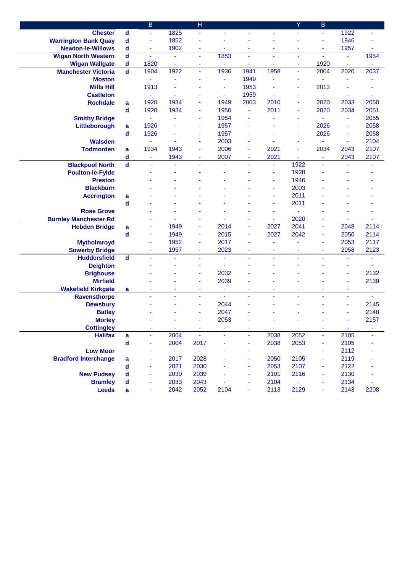|                              |                         | $\overline{B}$ |                     | $\overline{\mathsf{H}}$ |      |                          |                          | Ÿ                        | B    |        |                          |
|------------------------------|-------------------------|----------------|---------------------|-------------------------|------|--------------------------|--------------------------|--------------------------|------|--------|--------------------------|
| <b>Chester</b>               | $\mathbf d$             | ä,             | 1825                | ä,                      | ä,   | ÷.                       | ä,                       | ä,                       | ä,   | 1922   | ä,                       |
| <b>Warrington Bank Quay</b>  | $\mathbf d$             | ä,             | 1852                | ä,                      |      |                          |                          |                          | ä,   | 1946   |                          |
| <b>Newton-le-Willows</b>     | d                       | ÷,             | 1902                | ÷                       | ÷    | ٠                        | ÷                        | ÷                        | ÷    | 1957   | $\overline{\phantom{a}}$ |
| <b>Wigan North Western</b>   | $\mathbf d$             | ä,             | ÷                   | ä,                      | 1853 | $\tilde{\phantom{a}}$    | ä,                       | ä,                       | ä,   | ä,     | 1954                     |
| <b>Wigan Wallgate</b>        | $\mathbf d$             | 1820           | ٠                   | ٠                       |      | ٠                        | ÷                        | ٠                        | 1920 | ٠      |                          |
| <b>Manchester Victoria</b>   | $\mathbf d$             | 1904           | 1922                | ÷                       | 1936 | 1941                     | 1958                     | ÷                        | 2004 | 2020   | 2037                     |
| <b>Moston</b>                |                         | ÷              |                     |                         | ÷    | 1949                     |                          | ä,                       |      |        |                          |
| <b>Mills Hill</b>            |                         | 1913           |                     |                         | ä,   | 1953                     |                          | ä,                       | 2013 |        |                          |
| <b>Castleton</b>             |                         | ä,             |                     |                         | ÷    | 1959                     | ÷,                       | ٠                        | ä,   | ÷      | ä,                       |
| <b>Rochdale</b>              | a                       | 1920           | 1934                | ä,                      | 1949 | 2003                     | 2010                     | ä,                       | 2020 | 2033   | 2050                     |
|                              | $\mathbf d$             | 1920           | 1934                | ä,                      | 1950 | ä,                       | 2011                     | ä,                       | 2020 | 2034   | 2051                     |
| <b>Smithy Bridge</b>         |                         | ä,             |                     | ä,                      | 1954 | ä,                       |                          | ä,                       | ä,   | ÷      | 2055                     |
| Littleborough                | a                       | 1926           |                     | ٠                       | 1957 |                          |                          | ÷                        | 2026 | ×,     | 2058                     |
|                              | d                       | 1926           |                     | ٠                       | 1957 | ä,                       |                          | ٠                        | 2026 | ÷      | 2058                     |
| <b>Walsden</b>               |                         | ä,             |                     | ÷                       | 2003 | ä,                       |                          | ÷                        |      | ÷      | 2104                     |
| <b>Todmorden</b>             | a                       | 1934           | 1943                | ÷                       | 2006 | $\overline{\phantom{a}}$ | 2021                     | ä,                       | 2034 | 2043   | 2107                     |
|                              | d                       | ÷,             | 1943                | ÷                       | 2007 | ÷                        | 2021                     |                          | ÷    | 2043   | 2107                     |
| <b>Blackpool North</b>       | $\mathbf d$             |                |                     |                         |      |                          | ÷                        | 1922                     | ٠    | L,     | ÷                        |
| <b>Poulton-le-Fylde</b>      |                         |                |                     |                         |      |                          | $\blacksquare$           | 1928                     |      |        |                          |
| <b>Preston</b>               |                         |                |                     |                         |      |                          |                          | 1946                     |      |        |                          |
| <b>Blackburn</b>             |                         |                |                     |                         |      |                          |                          | 2003                     |      |        |                          |
| <b>Accrington</b>            | a                       |                |                     |                         |      |                          |                          | 2011                     |      |        |                          |
|                              | d                       |                |                     |                         |      |                          | ä,                       | 2011                     |      |        |                          |
| <b>Rose Grove</b>            |                         |                |                     |                         |      |                          | ٠                        | ×,                       |      |        |                          |
| <b>Burnley Manchester Rd</b> |                         | ٠              | ٠                   | ۰                       | ٠    | ٠                        | ۰                        | 2020                     | ٠    | ×      | ۰                        |
| <b>Hebden Bridge</b>         | a                       | ÷              | 1949                | ä,                      | 2014 | $\overline{\phantom{a}}$ | 2027                     | 2041                     | ٠    | 2048   | 2114                     |
|                              | d                       | ä,             | 1949                | ÷,                      | 2015 | $\bar{\phantom{a}}$      | 2027                     | 2042                     | ÷    | 2050   | 2114                     |
| <b>Mytholmroyd</b>           |                         |                | 1952                | ä,                      | 2017 |                          |                          |                          | ÷    | 2053   | 2117                     |
| <b>Sowerby Bridge</b>        |                         | ٠              | 1957                | ÷                       | 2023 | $\overline{\phantom{a}}$ | $\overline{\phantom{a}}$ | $\overline{\phantom{a}}$ | ÷    | 2058   | 2123                     |
| <b>Huddersfield</b>          | $\overline{\mathbf{d}}$ | ä,             | ä,                  | ÷,                      | ä,   | ä,                       | ä,                       | L                        | ä,   | L,     | ä,                       |
| <b>Deighton</b>              |                         |                |                     | ä,                      | ×,   |                          |                          |                          |      | ä,     | ä,                       |
| <b>Brighouse</b>             |                         |                |                     |                         | 2032 |                          |                          |                          |      | ä,     | 2132                     |
| <b>Mirfield</b>              |                         |                |                     | ÷                       | 2039 |                          |                          |                          |      | ä,     | 2139                     |
| <b>Wakefield Kirkgate</b>    | a                       | ٠              | ٠                   | ٠                       | ٠    | ٠                        | ٠                        | ٠                        | ٠    | ٠      | ٠                        |
| Ravensthorpe                 |                         | ä,             | ä,                  | ÷,                      | ä,   | ä,                       | ä,                       | L                        | ä,   | ÷      | Ξ                        |
| <b>Dewsbury</b>              |                         |                |                     | ä,                      | 2044 |                          |                          |                          |      | ä,     | 2145                     |
| <b>Batley</b>                |                         |                |                     |                         | 2047 |                          |                          |                          |      |        | 2148                     |
| <b>Morley</b>                |                         |                |                     |                         | 2053 |                          |                          |                          |      |        | 2157                     |
| <b>Cottingley</b>            |                         |                | ж.                  | ٠                       |      | ٠                        | <b>.</b>                 | $\sim$                   | ٠    | $\sim$ | ٠                        |
| <b>Halifax</b>               | a                       |                | 2004                | ÷,                      |      |                          | 2038                     | 2052                     | ٠    | 2105   |                          |
|                              | $\mathbf d$             | ä,             | 2004                | 2017                    |      | ÷                        | 2038                     | 2053                     | ٠    | 2105   |                          |
| <b>Low Moor</b>              |                         |                | $\omega_{\rm{eff}}$ | $\blacksquare$          |      | ÷                        | $\omega_{\rm{eff}}$      | $\omega$                 | ÷,   | 2112   |                          |
| <b>Bradford Interchange</b>  | a                       |                | 2017                | 2028                    |      | ÷                        | 2050                     | 2105                     | ä,   | 2119   |                          |
|                              | d                       |                | 2021                | 2030                    |      | ٠                        | 2053                     | 2107                     | ۰    | 2122   |                          |
| <b>New Pudsey</b>            | d                       | ÷              | 2030                | 2039                    |      | $\overline{\phantom{a}}$ | 2101                     | 2116                     | ۰    | 2130   |                          |
| <b>Bramley</b>               | d                       |                | 2033                | 2043                    |      |                          | 2104                     | ÷                        | ۰    | 2134   |                          |
| <b>Leeds</b>                 | a                       |                | 2042                | 2052                    | 2104 |                          | 2113                     | 2129                     | ÷    | 2143   | 2208                     |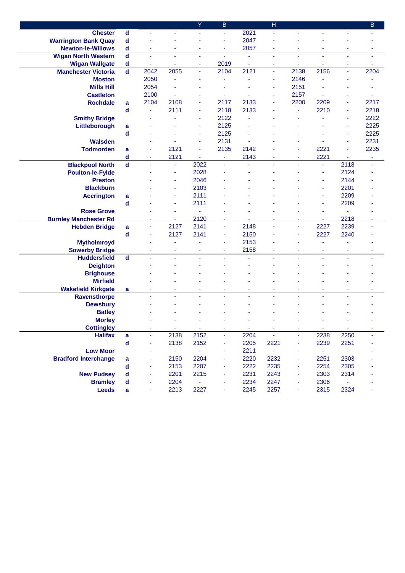|                              |                             |      |                     | Ÿ              | B    |      | H                |                          |                          |                | B              |
|------------------------------|-----------------------------|------|---------------------|----------------|------|------|------------------|--------------------------|--------------------------|----------------|----------------|
| <b>Chester</b>               | $\operatorname{\mathsf{d}}$ | ä,   |                     |                | ä,   | 2021 | ä,               | ÷,                       | ä,                       | ä,             |                |
| <b>Warrington Bank Quay</b>  | $\mathbf d$                 |      |                     |                | ÷    | 2047 |                  |                          |                          |                |                |
| <b>Newton-le-Willows</b>     | d                           | ÷    | ٠                   | $\blacksquare$ | ÷    | 2057 | ٠                | $\blacksquare$           | ÷                        | ÷              | ÷              |
| <b>Wigan North Western</b>   | $\mathbf d$                 | ä,   | ä,                  | ÷,             | ä,   | ä,   | ٠                | ä,                       | ä,                       | ä,             | ÷              |
| <b>Wigan Wallgate</b>        | d                           | ۰    | ٠                   | ٠              | 2019 | ÷    | ٠                | ٠                        | ٠                        | ٠              | ÷              |
| <b>Manchester Victoria</b>   | $\overline{\mathbf{d}}$     | 2042 | 2055                | ÷              | 2104 | 2121 | ٠                | 2138                     | 2156                     | $\blacksquare$ | 2204           |
| <b>Moston</b>                |                             | 2050 |                     |                |      |      | ÷                | 2146                     |                          |                |                |
| <b>Mills Hill</b>            |                             | 2054 |                     |                |      |      |                  | 2151                     |                          |                |                |
| <b>Castleton</b>             |                             | 2100 |                     |                |      |      |                  | 2157                     | ä,                       |                |                |
| <b>Rochdale</b>              | a                           | 2104 | 2108                |                | 2117 | 2133 | ÷                | 2200                     | 2209                     | ä,             | 2217           |
|                              | d                           | ä,   | 2111                | ÷              | 2118 | 2133 |                  | ä,                       | 2210                     | ä,             | 2218           |
| <b>Smithy Bridge</b>         |                             |      |                     | ÷              | 2122 |      |                  |                          |                          | ÷              | 2222           |
| Littleborough                | a                           |      |                     | ÷              | 2125 |      |                  |                          |                          | ÷              | 2225           |
|                              | d                           |      |                     | ٠              | 2125 |      |                  |                          |                          | ÷              | 2225           |
| <b>Walsden</b>               |                             |      |                     | ÷              | 2131 | ä,   |                  |                          |                          | ä,             | 2231           |
| <b>Todmorden</b>             | a                           |      | 2121                | ä,             | 2135 | 2142 |                  |                          | 2221                     | ä,             | 2235           |
|                              | d                           | ٠    | 2121                |                | ۰    | 2143 |                  |                          | 2221                     |                | ÷              |
| <b>Blackpool North</b>       | $\mathbf d$                 |      | ÷                   | 2022           | ٠    | ä,   |                  |                          | ٠                        | 2118           | $\blacksquare$ |
| <b>Poulton-le-Fylde</b>      |                             |      | ٠                   | 2028           |      |      |                  |                          | ٠                        | 2124           |                |
| <b>Preston</b>               |                             |      |                     | 2046           |      |      |                  |                          | ٠                        | 2144           |                |
| <b>Blackburn</b>             |                             |      |                     | 2103           |      |      |                  |                          | ä,                       | 2201           |                |
| <b>Accrington</b>            | a                           |      |                     | 2111           |      |      |                  |                          |                          | 2209           |                |
|                              | d                           |      |                     | 2111           |      |      |                  |                          | ä,                       | 2209           |                |
| <b>Rose Grove</b>            |                             |      |                     | ä,             |      |      |                  |                          | ٠                        | ä,             |                |
| <b>Burnley Manchester Rd</b> |                             | ٠    | ۰                   | 2120           | ٠    | ٠    | ٠                | ÷                        | ۰                        | 2218           | ٠              |
| <b>Hebden Bridge</b>         | a                           | ä,   | 2127                | 2141           | ٠    | 2148 | ä,               | ä,                       | 2227                     | 2239           |                |
|                              | d                           |      | 2127                | 2141           | ٠    | 2150 |                  | ä,                       | 2227                     | 2240           |                |
| <b>Mytholmroyd</b>           |                             |      |                     |                |      | 2153 |                  |                          |                          |                |                |
| <b>Sowerby Bridge</b>        |                             | ٠    | ٠                   | ٠              | ٠    | 2158 | ٠                | $\overline{\phantom{a}}$ | $\overline{\phantom{a}}$ | ٠              | ÷              |
| <b>Huddersfield</b>          | $\overline{\mathbf{d}}$     |      | L,                  |                | L,   |      | ä,               |                          | ä,                       | ä,             |                |
| <b>Deighton</b>              |                             |      |                     |                |      |      |                  |                          |                          |                |                |
| <b>Brighouse</b>             |                             |      |                     |                |      |      |                  |                          |                          |                |                |
| <b>Mirfield</b>              |                             |      |                     |                |      |      |                  |                          |                          |                |                |
| <b>Wakefield Kirkgate</b>    | a                           | ٠    | ٠                   | ٠              | ٠    | ٠    | ٠                | ٠                        | ٠                        | ٠              | ٠              |
| <b>Ravensthorpe</b>          |                             |      |                     | ä,             |      | ä,   | L,               | ä,                       |                          | ä,             | ä,             |
| <b>Dewsbury</b>              |                             |      |                     |                |      |      |                  |                          |                          |                |                |
| <b>Batley</b>                |                             |      |                     |                |      |      |                  |                          |                          |                |                |
| <b>Morley</b>                |                             |      |                     |                |      |      |                  |                          |                          |                |                |
| <b>Cottingley</b>            |                             |      | ٠                   | ٠              | ٠    | ж.   | ٠                | ۰                        | . н.                     | ÷              | ٠              |
| <b>Halifax</b>               | a                           |      | 2138                | 2152           | ٠    | 2204 | ÷,               | ÷,                       | 2238                     | 2250           |                |
|                              | $\operatorname{\mathsf{d}}$ | ä,   | 2138                | 2152           | ÷    | 2205 | 2221             | $\blacksquare$           | 2239                     | 2251           |                |
| <b>Low Moor</b>              |                             |      | $\omega_{\rm{eff}}$ | $\omega$       | ٠    | 2211 | $\omega_{\rm c}$ | ä,                       | $\sim$                   | $\omega$       |                |
| <b>Bradford Interchange</b>  | a                           |      | 2150                | 2204           | ٠    | 2220 | 2232             | ÷                        | 2251                     | 2303           |                |
|                              | d                           | ÷    | 2153                | 2207           | ٠    | 2222 | 2235             | ٠                        | 2254                     | 2305           |                |
| <b>New Pudsey</b>            | d                           | ÷    | 2201                | 2215           | ٠    | 2231 | 2243             | ÷                        | 2303                     | 2314           |                |
| <b>Bramley</b>               | d                           |      | 2204                | Ξ              | ۰    | 2234 | 2247             | ÷                        | 2306                     | ÷              |                |
| <b>Leeds</b>                 | a                           |      | 2213                | 2227           | ۰    | 2245 | 2257             | ÷                        | 2315                     | 2324           |                |